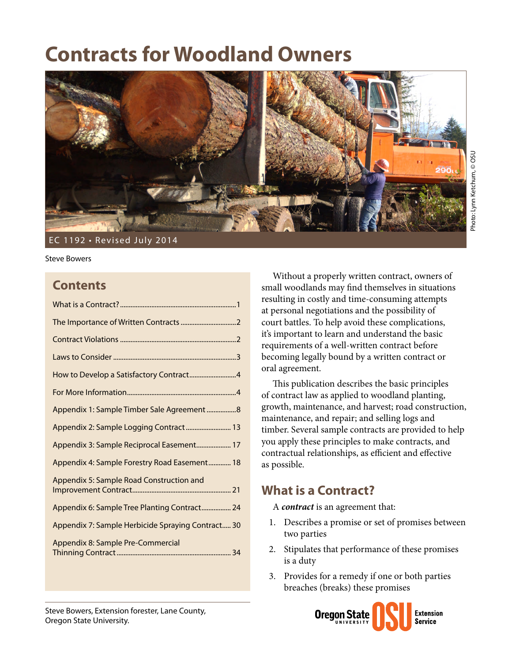# **Contracts for Woodland Owners**



Steve Bowers

### **Contents**

| How to Develop a Satisfactory Contract4           |
|---------------------------------------------------|
|                                                   |
| Appendix 1: Sample Timber Sale Agreement 8        |
| Appendix 2: Sample Logging Contract  13           |
| Appendix 3: Sample Reciprocal Easement 17         |
| Appendix 4: Sample Forestry Road Easement 18      |
| Appendix 5: Sample Road Construction and          |
| Appendix 6: Sample Tree Planting Contract 24      |
| Appendix 7: Sample Herbicide Spraying Contract 30 |
| Appendix 8: Sample Pre-Commercial                 |

Without a properly written contract, owners of small woodlands may find themselves in situations resulting in costly and time-consuming attempts at personal negotiations and the possibility of court battles. To help avoid these complications, it's important to learn and understand the basic requirements of a well-written contract before becoming legally bound by a written contract or oral agreement.

This publication describes the basic principles of contract law as applied to woodland planting, growth, maintenance, and harvest; road construction, maintenance, and repair; and selling logs and timber. Several sample contracts are provided to help you apply these principles to make contracts, and contractual relationships, as efficient and effective as possible.

### **What is a Contract?**

A *contract* is an agreement that:

- 1. Describes a promise or set of promises between two parties
- 2. Stipulates that performance of these promises is a duty
- 3. Provides for a remedy if one or both parties breaches (breaks) these promises

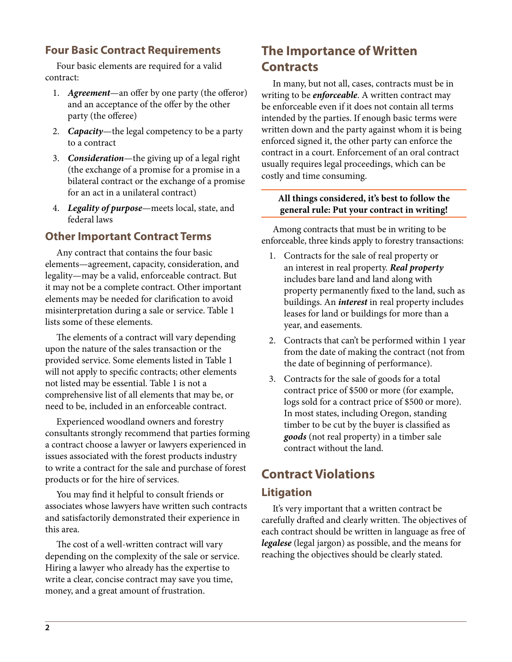### <span id="page-1-0"></span>**Four Basic Contract Requirements**

Four basic elements are required for a valid contract:

- 1. *Agreement*—an offer by one party (the offeror) and an acceptance of the offer by the other party (the offeree)
- 2. *Capacity*—the legal competency to be a party to a contract
- 3. *Consideration*—the giving up of a legal right (the exchange of a promise for a promise in a bilateral contract or the exchange of a promise for an act in a unilateral contract)
- 4. *Legality of purpose*—meets local, state, and federal laws

#### **Other Important Contract Terms**

Any contract that contains the four basic elements—agreement, capacity, consideration, and legality—may be a valid, enforceable contract. But it may not be a complete contract. Other important elements may be needed for clarification to avoid misinterpretation during a sale or service. Table 1 lists some of these elements.

The elements of a contract will vary depending upon the nature of the sales transaction or the provided service. Some elements listed in Table 1 will not apply to specific contracts; other elements not listed may be essential. Table 1 is not a comprehensive list of all elements that may be, or need to be, included in an enforceable contract.

Experienced woodland owners and forestry consultants strongly recommend that parties forming a contract choose a lawyer or lawyers experienced in issues associated with the forest products industry to write a contract for the sale and purchase of forest products or for the hire of services.

You may find it helpful to consult friends or associates whose lawyers have written such contracts and satisfactorily demonstrated their experience in this area.

The cost of a well-written contract will vary depending on the complexity of the sale or service. Hiring a lawyer who already has the expertise to write a clear, concise contract may save you time, money, and a great amount of frustration.

## **The Importance of Written Contracts**

In many, but not all, cases, contracts must be in writing to be *enforceable*. A written contract may be enforceable even if it does not contain all terms intended by the parties. If enough basic terms were written down and the party against whom it is being enforced signed it, the other party can enforce the contract in a court. Enforcement of an oral contract usually requires legal proceedings, which can be costly and time consuming.

#### **All things considered, it's best to follow the general rule: Put your contract in writing!**

Among contracts that must be in writing to be enforceable, three kinds apply to forestry transactions:

- 1. Contracts for the sale of real property or an interest in real property. *Real property* includes bare land and land along with property permanently fixed to the land, such as buildings. An *interest* in real property includes leases for land or buildings for more than a year, and easements.
- 2. Contracts that can't be performed within 1 year from the date of making the contract (not from the date of beginning of performance).
- 3. Contracts for the sale of goods for a total contract price of \$500 or more (for example, logs sold for a contract price of \$500 or more). In most states, including Oregon, standing timber to be cut by the buyer is classified as *goods* (not real property) in a timber sale contract without the land.

## **Contract Violations**

#### **Litigation**

It's very important that a written contract be carefully drafted and clearly written. The objectives of each contract should be written in language as free of *legalese* (legal jargon) as possible, and the means for reaching the objectives should be clearly stated.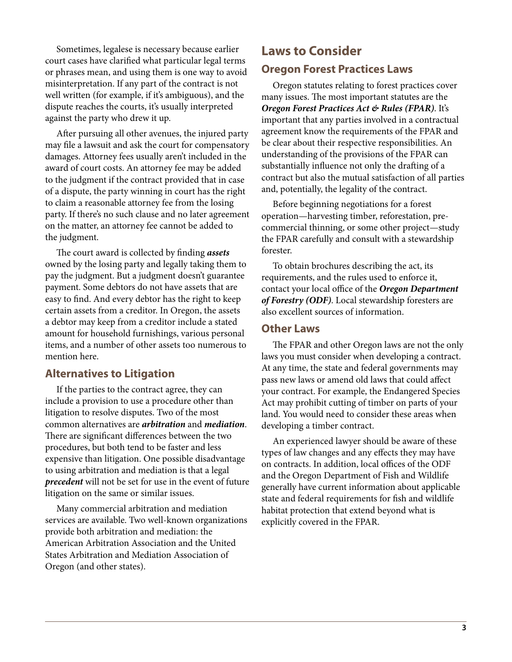<span id="page-2-0"></span>Sometimes, legalese is necessary because earlier court cases have clarified what particular legal terms or phrases mean, and using them is one way to avoid misinterpretation. If any part of the contract is not well written (for example, if it's ambiguous), and the dispute reaches the courts, it's usually interpreted against the party who drew it up.

After pursuing all other avenues, the injured party may file a lawsuit and ask the court for compensatory damages. Attorney fees usually aren't included in the award of court costs. An attorney fee may be added to the judgment if the contract provided that in case of a dispute, the party winning in court has the right to claim a reasonable attorney fee from the losing party. If there's no such clause and no later agreement on the matter, an attorney fee cannot be added to the judgment.

The court award is collected by finding *assets* owned by the losing party and legally taking them to pay the judgment. But a judgment doesn't guarantee payment. Some debtors do not have assets that are easy to find. And every debtor has the right to keep certain assets from a creditor. In Oregon, the assets a debtor may keep from a creditor include a stated amount for household furnishings, various personal items, and a number of other assets too numerous to mention here.

#### **Alternatives to Litigation**

If the parties to the contract agree, they can include a provision to use a procedure other than litigation to resolve disputes. Two of the most common alternatives are *arbitration* and *mediation*. There are significant differences between the two procedures, but both tend to be faster and less expensive than litigation. One possible disadvantage to using arbitration and mediation is that a legal *precedent* will not be set for use in the event of future litigation on the same or similar issues.

Many commercial arbitration and mediation services are available. Two well-known organizations provide both arbitration and mediation: the American Arbitration Association and the United States Arbitration and Mediation Association of Oregon (and other states).

### **Laws to Consider Oregon Forest Practices Laws**

Oregon statutes relating to forest practices cover many issues. The most important statutes are the *Oregon Forest Practices Act & Rules (FPAR)*. It's important that any parties involved in a contractual agreement know the requirements of the FPAR and be clear about their respective responsibilities. An understanding of the provisions of the FPAR can substantially influence not only the drafting of a contract but also the mutual satisfaction of all parties and, potentially, the legality of the contract.

Before beginning negotiations for a forest operation—harvesting timber, reforestation, precommercial thinning, or some other project—study the FPAR carefully and consult with a stewardship forester.

To obtain brochures describing the act, its requirements, and the rules used to enforce it, contact your local office of the *Oregon Department of Forestry (ODF)*. Local stewardship foresters are also excellent sources of information.

#### **Other Laws**

The FPAR and other Oregon laws are not the only laws you must consider when developing a contract. At any time, the state and federal governments may pass new laws or amend old laws that could affect your contract. For example, the Endangered Species Act may prohibit cutting of timber on parts of your land. You would need to consider these areas when developing a timber contract.

An experienced lawyer should be aware of these types of law changes and any effects they may have on contracts. In addition, local offices of the ODF and the Oregon Department of Fish and Wildlife generally have current information about applicable state and federal requirements for fish and wildlife habitat protection that extend beyond what is explicitly covered in the FPAR.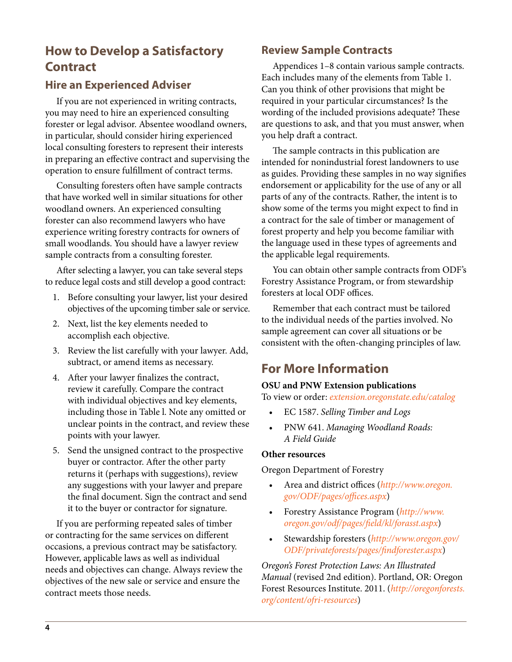## <span id="page-3-0"></span>**How to Develop a Satisfactory Contract**

### **Hire an Experienced Adviser**

If you are not experienced in writing contracts, you may need to hire an experienced consulting forester or legal advisor. Absentee woodland owners, in particular, should consider hiring experienced local consulting foresters to represent their interests in preparing an effective contract and supervising the operation to ensure fulfillment of contract terms.

Consulting foresters often have sample contracts that have worked well in similar situations for other woodland owners. An experienced consulting forester can also recommend lawyers who have experience writing forestry contracts for owners of small woodlands. You should have a lawyer review sample contracts from a consulting forester.

After selecting a lawyer, you can take several steps to reduce legal costs and still develop a good contract:

- 1. Before consulting your lawyer, list your desired objectives of the upcoming timber sale or service.
- 2. Next, list the key elements needed to accomplish each objective.
- 3. Review the list carefully with your lawyer. Add, subtract, or amend items as necessary.
- 4. After your lawyer finalizes the contract, review it carefully. Compare the contract with individual objectives and key elements, including those in Table l. Note any omitted or unclear points in the contract, and review these points with your lawyer.
- 5. Send the unsigned contract to the prospective buyer or contractor. After the other party returns it (perhaps with suggestions), review any suggestions with your lawyer and prepare the final document. Sign the contract and send it to the buyer or contractor for signature.

If you are performing repeated sales of timber or contracting for the same services on different occasions, a previous contract may be satisfactory. However, applicable laws as well as individual needs and objectives can change. Always review the objectives of the new sale or service and ensure the contract meets those needs.

### **Review Sample Contracts**

Appendices 1–8 contain various sample contracts. Each includes many of the elements from Table 1. Can you think of other provisions that might be required in your particular circumstances? Is the wording of the included provisions adequate? These are questions to ask, and that you must answer, when you help draft a contract.

The sample contracts in this publication are intended for nonindustrial forest landowners to use as guides. Providing these samples in no way signifies endorsement or applicability for the use of any or all parts of any of the contracts. Rather, the intent is to show some of the terms you might expect to find in a contract for the sale of timber or management of forest property and help you become familiar with the language used in these types of agreements and the applicable legal requirements.

You can obtain other sample contracts from ODF's Forestry Assistance Program, or from stewardship foresters at local ODF offices.

Remember that each contract must be tailored to the individual needs of the parties involved. No sample agreement can cover all situations or be consistent with the often-changing principles of law.

## **For More Information**

#### **OSU and PNW Extension publications**

To view or order: *[extension.oregonstate.edu/catalog](http://extension.oregonstate.edu/catalog)*

- EC 1587. *Selling Timber and Logs*
- PNW 641. *Managing Woodland Roads: A Field Guide*

#### **Other resources**

Oregon Department of Forestry

- Area and district offices (*[http://www.oregon.](http://www.oregon.gov/ODF/pages/offices.aspx) [gov/ODF/pages/offices.aspx](http://www.oregon.gov/ODF/pages/offices.aspx)*)
- Forestry Assistance Program (*[http://www.](http://www.oregon.gov/odf/pages/field/kl/forasst.aspx) [oregon.gov/odf/pages/field/kl/forasst.aspx](http://www.oregon.gov/odf/pages/field/kl/forasst.aspx)*)
- Stewardship foresters (*[http://www.oregon.gov/](http://www.oregon.gov/ODF/privateforests/pages/findforester.aspx) [ODF/privateforests/pages/findforester.aspx](http://www.oregon.gov/ODF/privateforests/pages/findforester.aspx)*)

*Oregon's Forest Protection Laws: An Illustrated Manual* (revised 2nd edition). Portland, OR: Oregon Forest Resources Institute. 2011. (*[http://oregonforests.](http://oregonforests.org/content/ofri-resources) [org/content/ofri-resources](http://oregonforests.org/content/ofri-resources)*)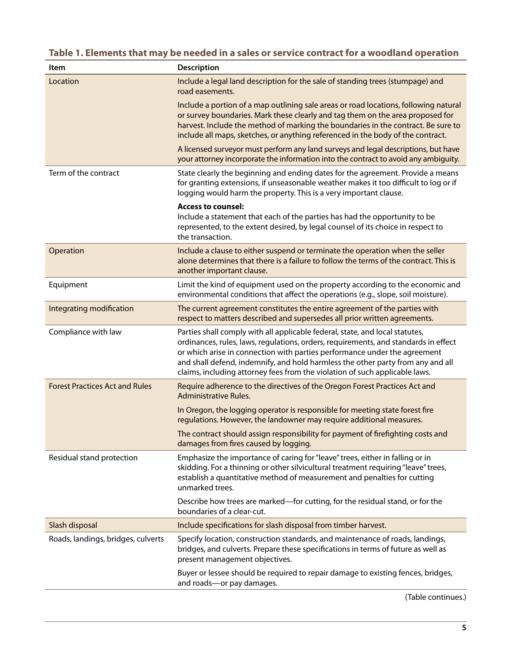### **Table 1. Elements that may be needed in a sales or service contract for a woodland operation**

| Item                                  | <b>Description</b>                                                                                                                                                                                                                                                                                                                                                                                                 |
|---------------------------------------|--------------------------------------------------------------------------------------------------------------------------------------------------------------------------------------------------------------------------------------------------------------------------------------------------------------------------------------------------------------------------------------------------------------------|
| Location                              | Include a legal land description for the sale of standing trees (stumpage) and<br>road easements.                                                                                                                                                                                                                                                                                                                  |
|                                       | Include a portion of a map outlining sale areas or road locations, following natural<br>or survey boundaries. Mark these clearly and tag them on the area proposed for<br>harvest. Include the method of marking the boundaries in the contract. Be sure to<br>include all maps, sketches, or anything referenced in the body of the contract.                                                                     |
|                                       | A licensed surveyor must perform any land surveys and legal descriptions, but have<br>your attorney incorporate the information into the contract to avoid any ambiguity.                                                                                                                                                                                                                                          |
| Term of the contract                  | State clearly the beginning and ending dates for the agreement. Provide a means<br>for granting extensions, if unseasonable weather makes it too difficult to log or if<br>logging would harm the property. This is a very important clause.                                                                                                                                                                       |
|                                       | <b>Access to counsel:</b><br>Include a statement that each of the parties has had the opportunity to be<br>represented, to the extent desired, by legal counsel of its choice in respect to<br>the transaction.                                                                                                                                                                                                    |
| Operation                             | Include a clause to either suspend or terminate the operation when the seller<br>alone determines that there is a failure to follow the terms of the contract. This is<br>another important clause.                                                                                                                                                                                                                |
| Equipment                             | Limit the kind of equipment used on the property according to the economic and<br>environmental conditions that affect the operations (e.g., slope, soil moisture).                                                                                                                                                                                                                                                |
| Integrating modification              | The current agreement constitutes the entire agreement of the parties with<br>respect to matters described and supersedes all prior written agreements.                                                                                                                                                                                                                                                            |
| Compliance with law                   | Parties shall comply with all applicable federal, state, and local statutes,<br>ordinances, rules, laws, regulations, orders, requirements, and standards in effect<br>or which arise in connection with parties performance under the agreement<br>and shall defend, indemnify, and hold harmless the other party from any and all<br>claims, including attorney fees from the violation of such applicable laws. |
| <b>Forest Practices Act and Rules</b> | Require adherence to the directives of the Oregon Forest Practices Act and<br>Administrative Rules.                                                                                                                                                                                                                                                                                                                |
|                                       | In Oregon, the logging operator is responsible for meeting state forest fire<br>regulations. However, the landowner may require additional measures.                                                                                                                                                                                                                                                               |
|                                       | The contract should assign responsibility for payment of firefighting costs and<br>damages from fires caused by logging.                                                                                                                                                                                                                                                                                           |
| Residual stand protection             | Emphasize the importance of caring for "leave" trees, either in falling or in<br>skidding. For a thinning or other silvicultural treatment requiring "leave" trees,<br>establish a quantitative method of measurement and penalties for cutting<br>unmarked trees.                                                                                                                                                 |
|                                       | Describe how trees are marked—for cutting, for the residual stand, or for the<br>boundaries of a clear-cut.                                                                                                                                                                                                                                                                                                        |
| Slash disposal                        | Include specifications for slash disposal from timber harvest.                                                                                                                                                                                                                                                                                                                                                     |
| Roads, landings, bridges, culverts    | Specify location, construction standards, and maintenance of roads, landings,<br>bridges, and culverts. Prepare these specifications in terms of future as well as<br>present management objectives.                                                                                                                                                                                                               |
|                                       | Buyer or lessee should be required to repair damage to existing fences, bridges,<br>and roads-or pay damages.                                                                                                                                                                                                                                                                                                      |

(Table continues.)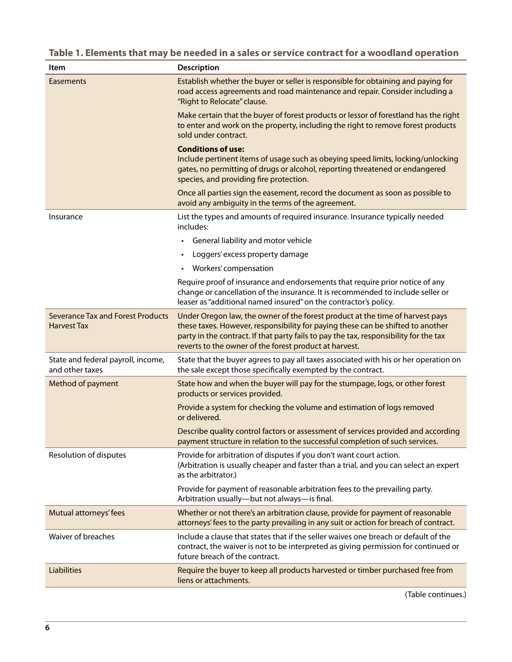### **Table 1. Elements that may be needed in a sales or service contract for a woodland operation**

| Item                                                           | <b>Description</b>                                                                                                                                                                                                                                                                                                  |
|----------------------------------------------------------------|---------------------------------------------------------------------------------------------------------------------------------------------------------------------------------------------------------------------------------------------------------------------------------------------------------------------|
| Easements                                                      | Establish whether the buyer or seller is responsible for obtaining and paying for<br>road access agreements and road maintenance and repair. Consider including a<br>"Right to Relocate" clause.                                                                                                                    |
|                                                                | Make certain that the buyer of forest products or lessor of forestland has the right<br>to enter and work on the property, including the right to remove forest products<br>sold under contract.                                                                                                                    |
|                                                                | <b>Conditions of use:</b><br>Include pertinent items of usage such as obeying speed limits, locking/unlocking<br>gates, no permitting of drugs or alcohol, reporting threatened or endangered<br>species, and providing fire protection.                                                                            |
|                                                                | Once all parties sign the easement, record the document as soon as possible to<br>avoid any ambiguity in the terms of the agreement.                                                                                                                                                                                |
| Insurance                                                      | List the types and amounts of required insurance. Insurance typically needed<br>includes:                                                                                                                                                                                                                           |
|                                                                | General liability and motor vehicle<br>$\bullet$                                                                                                                                                                                                                                                                    |
|                                                                | Loggers' excess property damage<br>$\bullet$                                                                                                                                                                                                                                                                        |
|                                                                | Workers' compensation                                                                                                                                                                                                                                                                                               |
|                                                                | Require proof of insurance and endorsements that require prior notice of any<br>change or cancellation of the insurance. It is recommended to include seller or<br>leaser as "additional named insured" on the contractor's policy.                                                                                 |
| <b>Severance Tax and Forest Products</b><br><b>Harvest Tax</b> | Under Oregon law, the owner of the forest product at the time of harvest pays<br>these taxes. However, responsibility for paying these can be shifted to another<br>party in the contract. If that party fails to pay the tax, responsibility for the tax<br>reverts to the owner of the forest product at harvest. |
| State and federal payroll, income,<br>and other taxes          | State that the buyer agrees to pay all taxes associated with his or her operation on<br>the sale except those specifically exempted by the contract.                                                                                                                                                                |
| Method of payment                                              | State how and when the buyer will pay for the stumpage, logs, or other forest<br>products or services provided.                                                                                                                                                                                                     |
|                                                                | Provide a system for checking the volume and estimation of logs removed<br>or delivered.                                                                                                                                                                                                                            |
|                                                                | Describe quality control factors or assessment of services provided and according<br>payment structure in relation to the successful completion of such services.                                                                                                                                                   |
| Resolution of disputes                                         | Provide for arbitration of disputes if you don't want court action.<br>(Arbitration is usually cheaper and faster than a trial, and you can select an expert<br>as the arbitrator.)                                                                                                                                 |
|                                                                | Provide for payment of reasonable arbitration fees to the prevailing party.<br>Arbitration usually-but not always-is final.                                                                                                                                                                                         |
| Mutual attorneys' fees                                         | Whether or not there's an arbitration clause, provide for payment of reasonable<br>attorneys' fees to the party prevailing in any suit or action for breach of contract.                                                                                                                                            |
| Waiver of breaches                                             | Include a clause that states that if the seller waives one breach or default of the<br>contract, the waiver is not to be interpreted as giving permission for continued or<br>future breach of the contract.                                                                                                        |
| <b>Liabilities</b>                                             | Require the buyer to keep all products harvested or timber purchased free from<br>liens or attachments.                                                                                                                                                                                                             |

(Table continues.)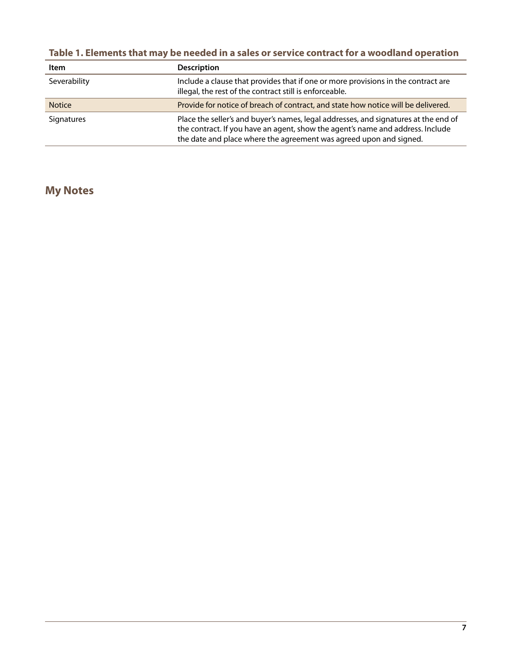| Table 1. Elements that may be needed in a sales or service contract for a woodland operation |  |  |  |
|----------------------------------------------------------------------------------------------|--|--|--|
|----------------------------------------------------------------------------------------------|--|--|--|

| Item          | <b>Description</b>                                                                                                                                                                                                                          |
|---------------|---------------------------------------------------------------------------------------------------------------------------------------------------------------------------------------------------------------------------------------------|
| Severability  | Include a clause that provides that if one or more provisions in the contract are<br>illegal, the rest of the contract still is enforceable.                                                                                                |
| <b>Notice</b> | Provide for notice of breach of contract, and state how notice will be delivered.                                                                                                                                                           |
| Signatures    | Place the seller's and buyer's names, legal addresses, and signatures at the end of<br>the contract. If you have an agent, show the agent's name and address. Include<br>the date and place where the agreement was agreed upon and signed. |

## **My Notes**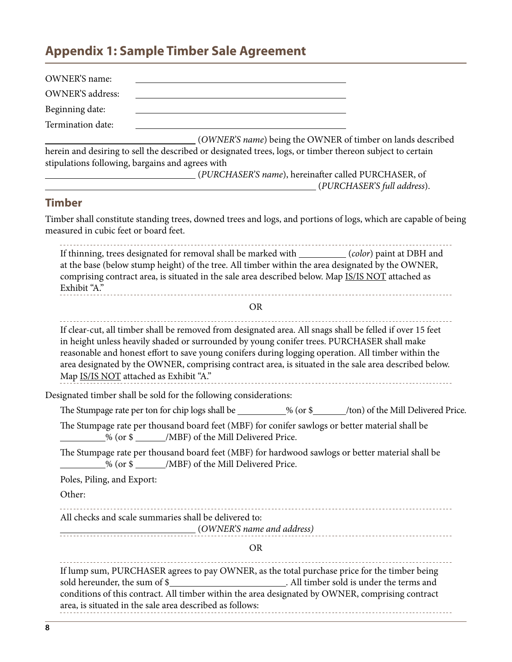## <span id="page-7-0"></span>**Appendix 1: Sample Timber Sale Agreement**

| OWNER'S name:                         |                                                                                                                                                                                                                                                                                                                                                                                                                                                                   |
|---------------------------------------|-------------------------------------------------------------------------------------------------------------------------------------------------------------------------------------------------------------------------------------------------------------------------------------------------------------------------------------------------------------------------------------------------------------------------------------------------------------------|
| <b>OWNER'S</b> address:               |                                                                                                                                                                                                                                                                                                                                                                                                                                                                   |
| Beginning date:                       |                                                                                                                                                                                                                                                                                                                                                                                                                                                                   |
| Termination date:                     |                                                                                                                                                                                                                                                                                                                                                                                                                                                                   |
|                                       | (OWNER'S name) being the OWNER of timber on lands described<br>herein and desiring to sell the described or designated trees, logs, or timber thereon subject to certain<br>stipulations following, bargains and agrees with<br>(PURCHASER'S name), hereinafter called PURCHASER, of<br>(PURCHASER'S full address).<br><u> 1980 - Johann Barn, mars ann an t-Amhain Aonaich an t-Aonaich an t-Aonaich ann an t-Aonaich ann an t-Aonaich</u>                       |
| <b>Timber</b>                         |                                                                                                                                                                                                                                                                                                                                                                                                                                                                   |
| measured in cubic feet or board feet. | Timber shall constitute standing trees, downed trees and logs, and portions of logs, which are capable of being                                                                                                                                                                                                                                                                                                                                                   |
| Exhibit "A."                          | If thinning, trees designated for removal shall be marked with _________(color) paint at DBH and<br>at the base (below stump height) of the tree. All timber within the area designated by the OWNER,<br>comprising contract area, is situated in the sale area described below. Map IS/IS NOT attached as                                                                                                                                                        |
|                                       | <b>OR</b>                                                                                                                                                                                                                                                                                                                                                                                                                                                         |
|                                       | If clear-cut, all timber shall be removed from designated area. All snags shall be felled if over 15 feet<br>in height unless heavily shaded or surrounded by young conifer trees. PURCHASER shall make<br>reasonable and honest effort to save young conifers during logging operation. All timber within the<br>area designated by the OWNER, comprising contract area, is situated in the sale area described below.<br>Map IS/IS NOT attached as Exhibit "A." |
|                                       | Designated timber shall be sold for the following considerations:                                                                                                                                                                                                                                                                                                                                                                                                 |
|                                       | The Stumpage rate per ton for chip logs shall be __________% (or \$_____/ton) of the Mill Delivered Price.                                                                                                                                                                                                                                                                                                                                                        |
|                                       | The Stumpage rate per thousand board feet (MBF) for conifer sawlogs or better material shall be<br>% (or \$ ______/MBF) of the Mill Delivered Price.                                                                                                                                                                                                                                                                                                              |
|                                       | The Stumpage rate per thousand board feet (MBF) for hardwood sawlogs or better material shall be<br>% (or \$ ______/MBF) of the Mill Delivered Price.                                                                                                                                                                                                                                                                                                             |
| Poles, Piling, and Export:            |                                                                                                                                                                                                                                                                                                                                                                                                                                                                   |
| Other:                                |                                                                                                                                                                                                                                                                                                                                                                                                                                                                   |
|                                       | All checks and scale summaries shall be delivered to:<br>(OWNER'S name and address)                                                                                                                                                                                                                                                                                                                                                                               |
|                                       | <b>OR</b>                                                                                                                                                                                                                                                                                                                                                                                                                                                         |
| sold hereunder, the sum of \$_        | If lump sum, PURCHASER agrees to pay OWNER, as the total purchase price for the timber being<br>All timber sold is under the terms and<br>conditions of this contract. All timber within the area designated by OWNER, comprising contract<br>area, is situated in the sale area described as follows:                                                                                                                                                            |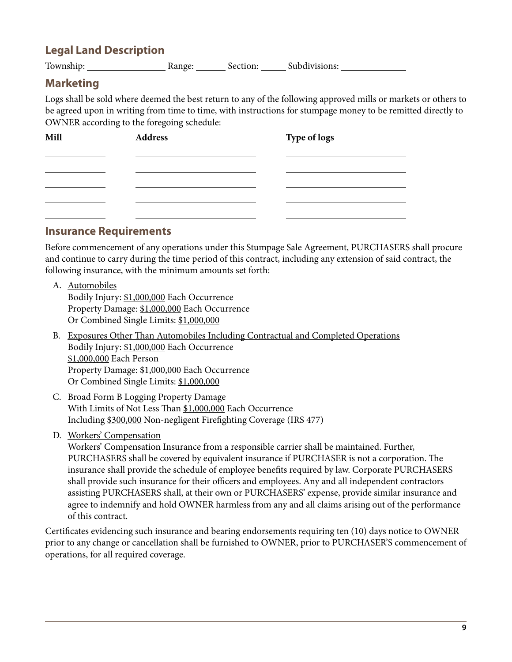### **Legal Land Description**

Township: Range: Section: Subdivisions:

### **Marketing**

Logs shall be sold where deemed the best return to any of the following approved mills or markets or others to be agreed upon in writing from time to time, with instructions for stumpage money to be remitted directly to OWNER according to the foregoing schedule:

| Mill | <b>Address</b> | Type of logs |
|------|----------------|--------------|
|      |                |              |
|      |                |              |
|      |                |              |

#### **Insurance Requirements**

Before commencement of any operations under this Stumpage Sale Agreement, PURCHASERS shall procure and continue to carry during the time period of this contract, including any extension of said contract, the following insurance, with the minimum amounts set forth:

A. Automobiles

Bodily Injury: \$1,000,000 Each Occurrence Property Damage: \$1,000,000 Each Occurrence Or Combined Single Limits: \$1,000,000

- B. Exposures Other Than Automobiles Including Contractual and Completed Operations Bodily Injury: \$1,000,000 Each Occurrence \$1,000,000 Each Person Property Damage: \$1,000,000 Each Occurrence Or Combined Single Limits: \$1,000,000
- C. Broad Form B Logging Property Damage With Limits of Not Less Than \$1,000,000 Each Occurrence Including \$300,000 Non-negligent Firefighting Coverage (IRS 477)
- D. Workers' Compensation

Workers' Compensation Insurance from a responsible carrier shall be maintained. Further, PURCHASERS shall be covered by equivalent insurance if PURCHASER is not a corporation. The insurance shall provide the schedule of employee benefits required by law. Corporate PURCHASERS shall provide such insurance for their officers and employees. Any and all independent contractors assisting PURCHASERS shall, at their own or PURCHASERS' expense, provide similar insurance and agree to indemnify and hold OWNER harmless from any and all claims arising out of the performance of this contract.

Certificates evidencing such insurance and bearing endorsements requiring ten (10) days notice to OWNER prior to any change or cancellation shall be furnished to OWNER, prior to PURCHASER'S commencement of operations, for all required coverage.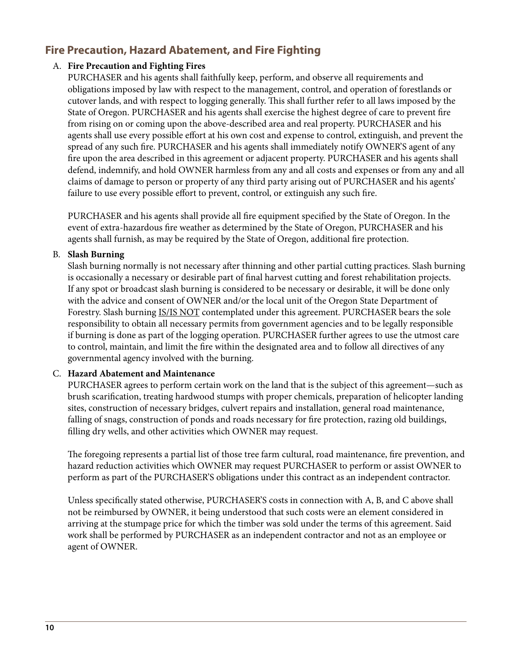### **Fire Precaution, Hazard Abatement, and Fire Fighting**

#### A. **Fire Precaution and Fighting Fires**

PURCHASER and his agents shall faithfully keep, perform, and observe all requirements and obligations imposed by law with respect to the management, control, and operation of forestlands or cutover lands, and with respect to logging generally. This shall further refer to all laws imposed by the State of Oregon. PURCHASER and his agents shall exercise the highest degree of care to prevent fire from rising on or coming upon the above-described area and real property. PURCHASER and his agents shall use every possible effort at his own cost and expense to control, extinguish, and prevent the spread of any such fire. PURCHASER and his agents shall immediately notify OWNER'S agent of any fire upon the area described in this agreement or adjacent property. PURCHASER and his agents shall defend, indemnify, and hold OWNER harmless from any and all costs and expenses or from any and all claims of damage to person or property of any third party arising out of PURCHASER and his agents' failure to use every possible effort to prevent, control, or extinguish any such fire.

PURCHASER and his agents shall provide all fire equipment specified by the State of Oregon. In the event of extra-hazardous fire weather as determined by the State of Oregon, PURCHASER and his agents shall furnish, as may be required by the State of Oregon, additional fire protection.

#### B. **Slash Burning**

Slash burning normally is not necessary after thinning and other partial cutting practices. Slash burning is occasionally a necessary or desirable part of final harvest cutting and forest rehabilitation projects. If any spot or broadcast slash burning is considered to be necessary or desirable, it will be done only with the advice and consent of OWNER and/or the local unit of the Oregon State Department of Forestry. Slash burning **IS/IS NOT** contemplated under this agreement. PURCHASER bears the sole responsibility to obtain all necessary permits from government agencies and to be legally responsible if burning is done as part of the logging operation. PURCHASER further agrees to use the utmost care to control, maintain, and limit the fire within the designated area and to follow all directives of any governmental agency involved with the burning.

#### C. **Hazard Abatement and Maintenance**

PURCHASER agrees to perform certain work on the land that is the subject of this agreement—such as brush scarification, treating hardwood stumps with proper chemicals, preparation of helicopter landing sites, construction of necessary bridges, culvert repairs and installation, general road maintenance, falling of snags, construction of ponds and roads necessary for fire protection, razing old buildings, filling dry wells, and other activities which OWNER may request.

The foregoing represents a partial list of those tree farm cultural, road maintenance, fire prevention, and hazard reduction activities which OWNER may request PURCHASER to perform or assist OWNER to perform as part of the PURCHASER'S obligations under this contract as an independent contractor.

Unless specifically stated otherwise, PURCHASER'S costs in connection with A, B, and C above shall not be reimbursed by OWNER, it being understood that such costs were an element considered in arriving at the stumpage price for which the timber was sold under the terms of this agreement. Said work shall be performed by PURCHASER as an independent contractor and not as an employee or agent of OWNER.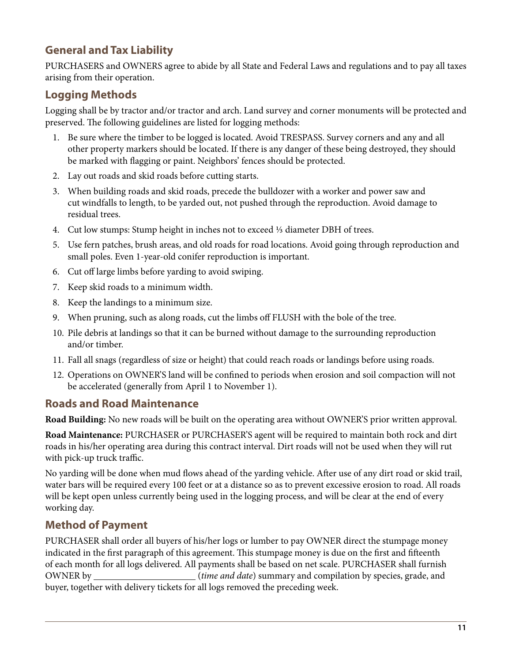### **General and Tax Liability**

PURCHASERS and OWNERS agree to abide by all State and Federal Laws and regulations and to pay all taxes arising from their operation.

### **Logging Methods**

Logging shall be by tractor and/or tractor and arch. Land survey and corner monuments will be protected and preserved. The following guidelines are listed for logging methods:

- 1. Be sure where the timber to be logged is located. Avoid TRESPASS. Survey corners and any and all other property markers should be located. If there is any danger of these being destroyed, they should be marked with flagging or paint. Neighbors' fences should be protected.
- 2. Lay out roads and skid roads before cutting starts.
- 3. When building roads and skid roads, precede the bulldozer with a worker and power saw and cut windfalls to length, to be yarded out, not pushed through the reproduction. Avoid damage to residual trees.
- 4. Cut low stumps: Stump height in inches not to exceed 1/3 diameter DBH of trees.
- 5. Use fern patches, brush areas, and old roads for road locations. Avoid going through reproduction and small poles. Even 1-year-old conifer reproduction is important.
- 6. Cut off large limbs before yarding to avoid swiping.
- 7. Keep skid roads to a minimum width.
- 8. Keep the landings to a minimum size.
- 9. When pruning, such as along roads, cut the limbs off FLUSH with the bole of the tree.
- 10. Pile debris at landings so that it can be burned without damage to the surrounding reproduction and/or timber.
- 11. Fall all snags (regardless of size or height) that could reach roads or landings before using roads.
- 12. Operations on OWNER'S land will be confined to periods when erosion and soil compaction will not be accelerated (generally from April 1 to November 1).

### **Roads and Road Maintenance**

**Road Building:** No new roads will be built on the operating area without OWNER'S prior written approval.

**Road Maintenance:** PURCHASER or PURCHASER'S agent will be required to maintain both rock and dirt roads in his/her operating area during this contract interval. Dirt roads will not be used when they will rut with pick-up truck traffic.

No yarding will be done when mud flows ahead of the yarding vehicle. After use of any dirt road or skid trail, water bars will be required every 100 feet or at a distance so as to prevent excessive erosion to road. All roads will be kept open unless currently being used in the logging process, and will be clear at the end of every working day.

### **Method of Payment**

PURCHASER shall order all buyers of his/her logs or lumber to pay OWNER direct the stumpage money indicated in the first paragraph of this agreement. This stumpage money is due on the first and fifteenth of each month for all logs delivered. All payments shall be based on net scale. PURCHASER shall furnish OWNER by (*time and date*) summary and compilation by species, grade, and buyer, together with delivery tickets for all logs removed the preceding week.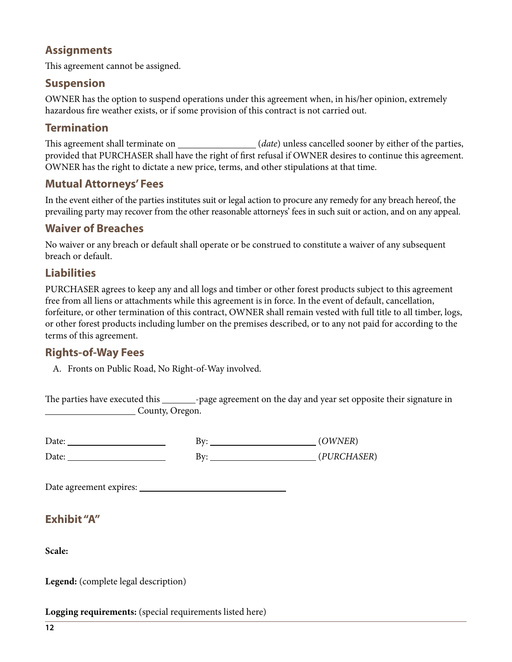### **Assignments**

This agreement cannot be assigned.

#### **Suspension**

OWNER has the option to suspend operations under this agreement when, in his/her opinion, extremely hazardous fire weather exists, or if some provision of this contract is not carried out.

### **Termination**

This agreement shall terminate on (*date*) unless cancelled sooner by either of the parties, provided that PURCHASER shall have the right of first refusal if OWNER desires to continue this agreement. OWNER has the right to dictate a new price, terms, and other stipulations at that time.

#### **Mutual Attorneys' Fees**

In the event either of the parties institutes suit or legal action to procure any remedy for any breach hereof, the prevailing party may recover from the other reasonable attorneys' fees in such suit or action, and on any appeal.

### **Waiver of Breaches**

No waiver or any breach or default shall operate or be construed to constitute a waiver of any subsequent breach or default.

### **Liabilities**

PURCHASER agrees to keep any and all logs and timber or other forest products subject to this agreement free from all liens or attachments while this agreement is in force. In the event of default, cancellation, forfeiture, or other termination of this contract, OWNER shall remain vested with full title to all timber, logs, or other forest products including lumber on the premises described, or to any not paid for according to the terms of this agreement.

### **Rights-of-Way Fees**

A. Fronts on Public Road, No Right-of-Way involved.

The parties have executed this \_\_\_\_\_\_\_\_-page agreement on the day and year set opposite their signature in County, Oregon.

Date: By: (*OWNER*) Date: <u>By:</u> By: *(PURCHASER)* 

Date agreement expires:

### **Exhibit "A"**

**Scale:**

**Legend:** (complete legal description)

**Logging requirements:** (special requirements listed here)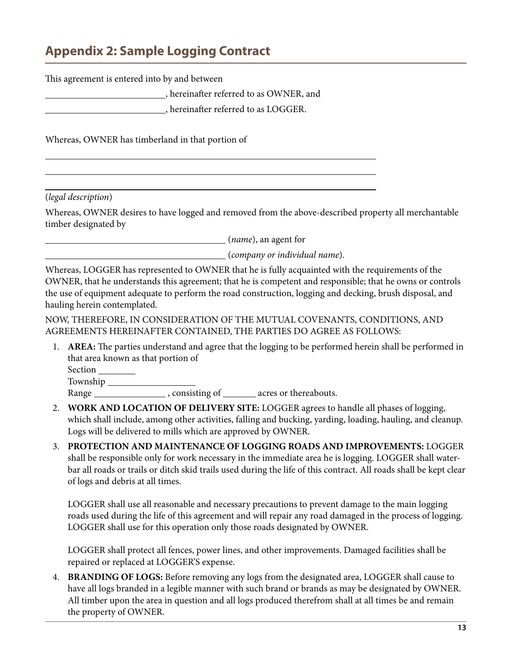## <span id="page-12-0"></span>**Appendix 2: Sample Logging Contract**

| This agreement is entered into by and between |  |  |
|-----------------------------------------------|--|--|
| hereinafter referred to as OWNER, and         |  |  |
| , hereinafter referred to as LOGGER.          |  |  |
|                                               |  |  |

Whereas, OWNER has timberland in that portion of

(*legal description*)

l

Whereas, OWNER desires to have logged and removed from the above-described property all merchantable timber designated by

(*name*), an agent for

(*company or individual name*).

Whereas, LOGGER has represented to OWNER that he is fully acquainted with the requirements of the OWNER, that he understands this agreement; that he is competent and responsible; that he owns or controls the use of equipment adequate to perform the road construction, logging and decking, brush disposal, and hauling herein contemplated.

NOW, THEREFORE, IN CONSIDERATION OF THE MUTUAL COVENANTS, CONDITIONS, AND AGREEMENTS HEREINAFTER CONTAINED, THE PARTIES DO AGREE AS FOLLOWS:

1. **AREA:** The parties understand and agree that the logging to be performed herein shall be performed in that area known as that portion of

Section

Township

Range \_\_\_\_\_\_\_\_\_\_\_\_\_\_\_\_, consisting of \_\_\_\_\_\_\_ acres or thereabouts.

- 2. **WORK AND LOCATION OF DELIVERY SITE:** LOGGER agrees to handle all phases of logging, which shall include, among other activities, falling and bucking, yarding, loading, hauling, and cleanup. Logs will be delivered to mills which are approved by OWNER.
- 3. **PROTECTION AND MAINTENANCE OF LOGGING ROADS AND IMPROVEMENTS:** LOGGER shall be responsible only for work necessary in the immediate area he is logging. LOGGER shall waterbar all roads or trails or ditch skid trails used during the life of this contract. All roads shall be kept clear of logs and debris at all times.

LOGGER shall use all reasonable and necessary precautions to prevent damage to the main logging roads used during the life of this agreement and will repair any road damaged in the process of logging. LOGGER shall use for this operation only those roads designated by OWNER.

LOGGER shall protect all fences, power lines, and other improvements. Damaged facilities shall be repaired or replaced at LOGGER'S expense.

4. **BRANDING OF LOGS:** Before removing any logs from the designated area, LOGGER shall cause to have all logs branded in a legible manner with such brand or brands as may be designated by OWNER. All timber upon the area in question and all logs produced therefrom shall at all times be and remain the property of OWNER.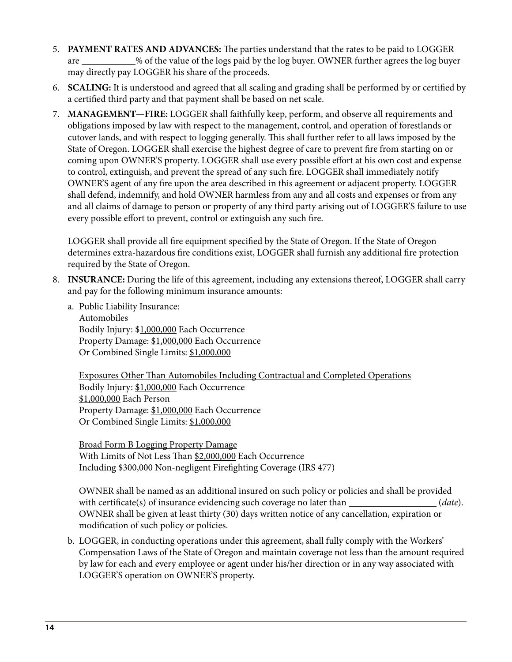- 5. **PAYMENT RATES AND ADVANCES:** The parties understand that the rates to be paid to LOGGER are  $\frac{1}{2}$ % of the value of the logs paid by the log buyer. OWNER further agrees the log buyer may directly pay LOGGER his share of the proceeds.
- 6. **SCALING:** It is understood and agreed that all scaling and grading shall be performed by or certified by a certified third party and that payment shall be based on net scale.
- 7. **MANAGEMENT—FIRE:** LOGGER shall faithfully keep, perform, and observe all requirements and obligations imposed by law with respect to the management, control, and operation of forestlands or cutover lands, and with respect to logging generally. This shall further refer to all laws imposed by the State of Oregon. LOGGER shall exercise the highest degree of care to prevent fire from starting on or coming upon OWNER'S property. LOGGER shall use every possible effort at his own cost and expense to control, extinguish, and prevent the spread of any such fire. LOGGER shall immediately notify OWNER'S agent of any fire upon the area described in this agreement or adjacent property. LOGGER shall defend, indemnify, and hold OWNER harmless from any and all costs and expenses or from any and all claims of damage to person or property of any third party arising out of LOGGER'S failure to use every possible effort to prevent, control or extinguish any such fire.

LOGGER shall provide all fire equipment specified by the State of Oregon. If the State of Oregon determines extra-hazardous fire conditions exist, LOGGER shall furnish any additional fire protection required by the State of Oregon.

- 8. **INSURANCE:** During the life of this agreement, including any extensions thereof, LOGGER shall carry and pay for the following minimum insurance amounts:
	- a. Public Liability Insurance: Automobiles

Bodily Injury: \$1,000,000 Each Occurrence Property Damage: \$1,000,000 Each Occurrence Or Combined Single Limits: \$1,000,000

Exposures Other Than Automobiles Including Contractual and Completed Operations Bodily Injury: \$1,000,000 Each Occurrence \$1,000,000 Each Person Property Damage: \$1,000,000 Each Occurrence Or Combined Single Limits: \$1,000,000

Broad Form B Logging Property Damage With Limits of Not Less Than \$2,000,000 Each Occurrence Including \$300,000 Non-negligent Firefighting Coverage (IRS 477)

OWNER shall be named as an additional insured on such policy or policies and shall be provided with certificate(s) of insurance evidencing such coverage no later than (*date*). OWNER shall be given at least thirty (30) days written notice of any cancellation, expiration or modification of such policy or policies.

b. LOGGER, in conducting operations under this agreement, shall fully comply with the Workers' Compensation Laws of the State of Oregon and maintain coverage not less than the amount required by law for each and every employee or agent under his/her direction or in any way associated with LOGGER'S operation on OWNER'S property.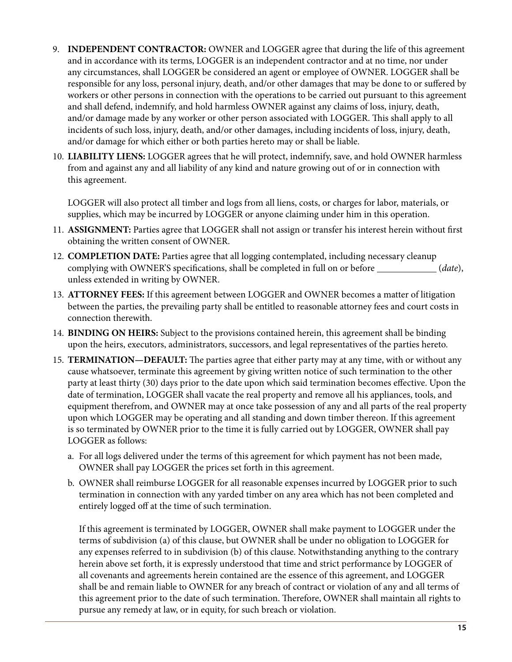- 9. **INDEPENDENT CONTRACTOR:** OWNER and LOGGER agree that during the life of this agreement and in accordance with its terms, LOGGER is an independent contractor and at no time, nor under any circumstances, shall LOGGER be considered an agent or employee of OWNER. LOGGER shall be responsible for any loss, personal injury, death, and/or other damages that may be done to or suffered by workers or other persons in connection with the operations to be carried out pursuant to this agreement and shall defend, indemnify, and hold harmless OWNER against any claims of loss, injury, death, and/or damage made by any worker or other person associated with LOGGER. This shall apply to all incidents of such loss, injury, death, and/or other damages, including incidents of loss, injury, death, and/or damage for which either or both parties hereto may or shall be liable.
- 10. **LIABILITY LIENS:** LOGGER agrees that he will protect, indemnify, save, and hold OWNER harmless from and against any and all liability of any kind and nature growing out of or in connection with this agreement.

LOGGER will also protect all timber and logs from all liens, costs, or charges for labor, materials, or supplies, which may be incurred by LOGGER or anyone claiming under him in this operation.

- 11. **ASSIGNMENT:** Parties agree that LOGGER shall not assign or transfer his interest herein without first obtaining the written consent of OWNER.
- 12. **COMPLETION DATE:** Parties agree that all logging contemplated, including necessary cleanup complying with OWNER'S specifications, shall be completed in full on or before (*date*), unless extended in writing by OWNER.
- 13. **ATTORNEY FEES:** If this agreement between LOGGER and OWNER becomes a matter of litigation between the parties, the prevailing party shall be entitled to reasonable attorney fees and court costs in connection therewith.
- 14. **BINDING ON HEIRS:** Subject to the provisions contained herein, this agreement shall be binding upon the heirs, executors, administrators, successors, and legal representatives of the parties hereto.
- 15. **TERMINATION—DEFAULT:** The parties agree that either party may at any time, with or without any cause whatsoever, terminate this agreement by giving written notice of such termination to the other party at least thirty (30) days prior to the date upon which said termination becomes effective. Upon the date of termination, LOGGER shall vacate the real property and remove all his appliances, tools, and equipment therefrom, and OWNER may at once take possession of any and all parts of the real property upon which LOGGER may be operating and all standing and down timber thereon. If this agreement is so terminated by OWNER prior to the time it is fully carried out by LOGGER, OWNER shall pay LOGGER as follows:
	- a. For all logs delivered under the terms of this agreement for which payment has not been made, OWNER shall pay LOGGER the prices set forth in this agreement.
	- b. OWNER shall reimburse LOGGER for all reasonable expenses incurred by LOGGER prior to such termination in connection with any yarded timber on any area which has not been completed and entirely logged off at the time of such termination.

If this agreement is terminated by LOGGER, OWNER shall make payment to LOGGER under the terms of subdivision (a) of this clause, but OWNER shall be under no obligation to LOGGER for any expenses referred to in subdivision (b) of this clause. Notwithstanding anything to the contrary herein above set forth, it is expressly understood that time and strict performance by LOGGER of all covenants and agreements herein contained are the essence of this agreement, and LOGGER shall be and remain liable to OWNER for any breach of contract or violation of any and all terms of this agreement prior to the date of such termination. Therefore, OWNER shall maintain all rights to pursue any remedy at law, or in equity, for such breach or violation.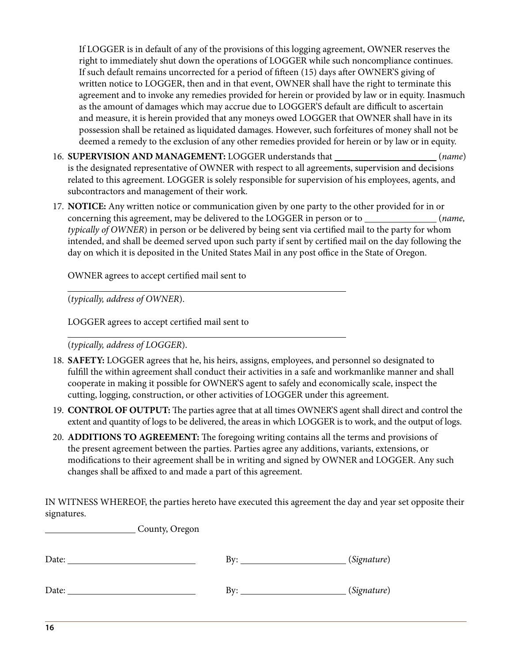If LOGGER is in default of any of the provisions of this logging agreement, OWNER reserves the right to immediately shut down the operations of LOGGER while such noncompliance continues. If such default remains uncorrected for a period of fifteen (15) days after OWNER'S giving of written notice to LOGGER, then and in that event, OWNER shall have the right to terminate this agreement and to invoke any remedies provided for herein or provided by law or in equity. Inasmuch as the amount of damages which may accrue due to LOGGER'S default are difficult to ascertain and measure, it is herein provided that any moneys owed LOGGER that OWNER shall have in its possession shall be retained as liquidated damages. However, such forfeitures of money shall not be deemed a remedy to the exclusion of any other remedies provided for herein or by law or in equity.

- 16. **SUPERVISION AND MANAGEMENT:** LOGGER understands that (*name*) is the designated representative of OWNER with respect to all agreements, supervision and decisions related to this agreement. LOGGER is solely responsible for supervision of his employees, agents, and subcontractors and management of their work.
- 17. **NOTICE:** Any written notice or communication given by one party to the other provided for in or concerning this agreement, may be delivered to the LOGGER in person or to \_\_\_\_\_\_\_\_\_\_\_\_\_\_\_(name, *typically of OWNER*) in person or be delivered by being sent via certified mail to the party for whom intended, and shall be deemed served upon such party if sent by certified mail on the day following the day on which it is deposited in the United States Mail in any post office in the State of Oregon.

OWNER agrees to accept certified mail sent to

(*typically, address of OWNER*).

 $\overline{a}$ 

 $\overline{a}$ 

LOGGER agrees to accept certified mail sent to

(*typically, address of LOGGER*).

- 18. **SAFETY:** LOGGER agrees that he, his heirs, assigns, employees, and personnel so designated to fulfill the within agreement shall conduct their activities in a safe and workmanlike manner and shall cooperate in making it possible for OWNER'S agent to safely and economically scale, inspect the cutting, logging, construction, or other activities of LOGGER under this agreement.
- 19. **CONTROL OF OUTPUT:** The parties agree that at all times OWNER'S agent shall direct and control the extent and quantity of logs to be delivered, the areas in which LOGGER is to work, and the output of logs.
- 20. **ADDITIONS TO AGREEMENT:** The foregoing writing contains all the terms and provisions of the present agreement between the parties. Parties agree any additions, variants, extensions, or modifications to their agreement shall be in writing and signed by OWNER and LOGGER. Any such changes shall be affixed to and made a part of this agreement.

IN WITNESS WHEREOF, the parties hereto have executed this agreement the day and year set opposite their signatures.

| County, Oregon |                           |             |
|----------------|---------------------------|-------------|
| Date: $\_$     | $\mathbf{B} \mathbf{y}$ : | (Signature) |
| Date: $\_$     |                           | (Signature) |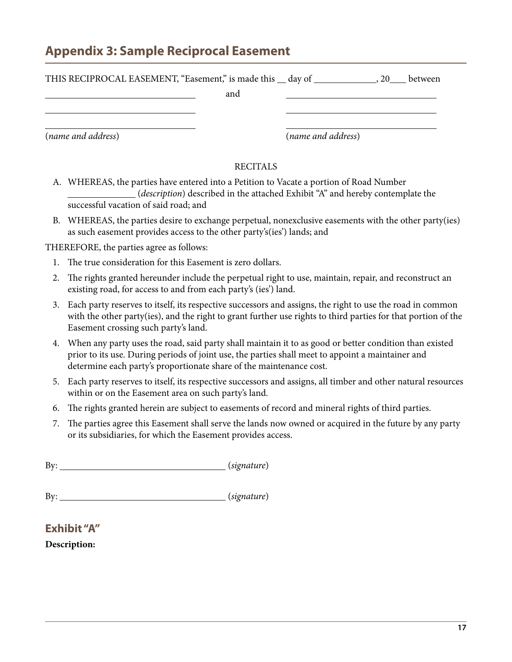## <span id="page-16-0"></span>**Appendix 3: Sample Reciprocal Easement**

| THIS RECIPROCAL EASEMENT, "Easement," is made this _ day of ____________ |     |                    | , 20 | between |
|--------------------------------------------------------------------------|-----|--------------------|------|---------|
|                                                                          | and |                    |      |         |
|                                                                          |     |                    |      |         |
| (name and address)                                                       |     | (name and address) |      |         |

#### RECITALS

- A. WHEREAS, the parties have entered into a Petition to Vacate a portion of Road Number (*description*) described in the attached Exhibit "A" and hereby contemplate the successful vacation of said road; and
- B. WHEREAS, the parties desire to exchange perpetual, nonexclusive easements with the other party(ies) as such easement provides access to the other party's(ies') lands; and

THEREFORE, the parties agree as follows:

- 1. The true consideration for this Easement is zero dollars.
- 2. The rights granted hereunder include the perpetual right to use, maintain, repair, and reconstruct an existing road, for access to and from each party's (ies') land.
- 3. Each party reserves to itself, its respective successors and assigns, the right to use the road in common with the other party(ies), and the right to grant further use rights to third parties for that portion of the Easement crossing such party's land.
- 4. When any party uses the road, said party shall maintain it to as good or better condition than existed prior to its use. During periods of joint use, the parties shall meet to appoint a maintainer and determine each party's proportionate share of the maintenance cost.
- 5. Each party reserves to itself, its respective successors and assigns, all timber and other natural resources within or on the Easement area on such party's land.
- 6. The rights granted herein are subject to easements of record and mineral rights of third parties.
- 7. The parties agree this Easement shall serve the lands now owned or acquired in the future by any party or its subsidiaries, for which the Easement provides access.

| B <sub>y</sub> | (signature) |
|----------------|-------------|
|                |             |

By: <u>(*signature*)</u>

**Exhibit "A"**

**Description:**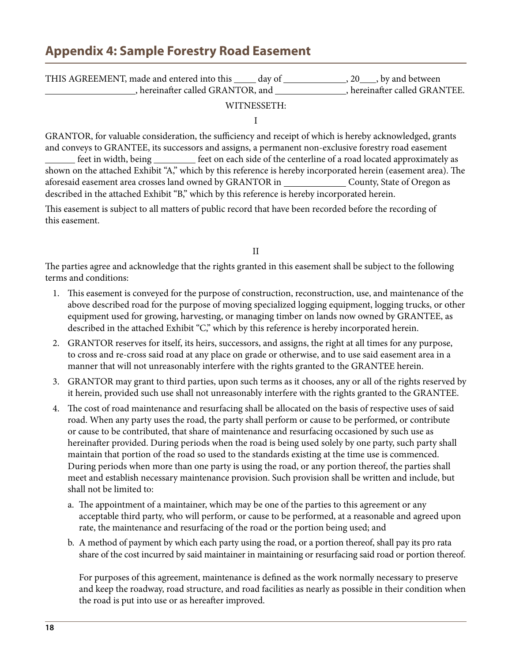## <span id="page-17-0"></span>**Appendix 4: Sample Forestry Road Easement**

| THIS AGREEMENT, made and entered into this | day of | $, 20$ , by and between     |
|--------------------------------------------|--------|-----------------------------|
| , hereinafter called GRANTOR, and          |        | hereinafter called GRANTEE. |

#### WITNESSETH:

I

GRANTOR, for valuable consideration, the sufficiency and receipt of which is hereby acknowledged, grants and conveys to GRANTEE, its successors and assigns, a permanent non-exclusive forestry road easement feet in width, being set on each side of the centerline of a road located approximately as shown on the attached Exhibit "A," which by this reference is hereby incorporated herein (easement area). The aforesaid easement area crosses land owned by GRANTOR in \_\_\_\_\_\_\_\_\_\_\_\_\_\_\_\_ County, State of Oregon as described in the attached Exhibit "B," which by this reference is hereby incorporated herein.

This easement is subject to all matters of public record that have been recorded before the recording of this easement.

II

The parties agree and acknowledge that the rights granted in this easement shall be subject to the following terms and conditions:

- 1. This easement is conveyed for the purpose of construction, reconstruction, use, and maintenance of the above described road for the purpose of moving specialized logging equipment, logging trucks, or other equipment used for growing, harvesting, or managing timber on lands now owned by GRANTEE, as described in the attached Exhibit "C," which by this reference is hereby incorporated herein.
- 2. GRANTOR reserves for itself, its heirs, successors, and assigns, the right at all times for any purpose, to cross and re-cross said road at any place on grade or otherwise, and to use said easement area in a manner that will not unreasonably interfere with the rights granted to the GRANTEE herein.
- 3. GRANTOR may grant to third parties, upon such terms as it chooses, any or all of the rights reserved by it herein, provided such use shall not unreasonably interfere with the rights granted to the GRANTEE.
- 4. The cost of road maintenance and resurfacing shall be allocated on the basis of respective uses of said road. When any party uses the road, the party shall perform or cause to be performed, or contribute or cause to be contributed, that share of maintenance and resurfacing occasioned by such use as hereinafter provided. During periods when the road is being used solely by one party, such party shall maintain that portion of the road so used to the standards existing at the time use is commenced. During periods when more than one party is using the road, or any portion thereof, the parties shall meet and establish necessary maintenance provision. Such provision shall be written and include, but shall not be limited to:
	- a. The appointment of a maintainer, which may be one of the parties to this agreement or any acceptable third party, who will perform, or cause to be performed, at a reasonable and agreed upon rate, the maintenance and resurfacing of the road or the portion being used; and
	- b. A method of payment by which each party using the road, or a portion thereof, shall pay its pro rata share of the cost incurred by said maintainer in maintaining or resurfacing said road or portion thereof.

For purposes of this agreement, maintenance is defined as the work normally necessary to preserve and keep the roadway, road structure, and road facilities as nearly as possible in their condition when the road is put into use or as hereafter improved.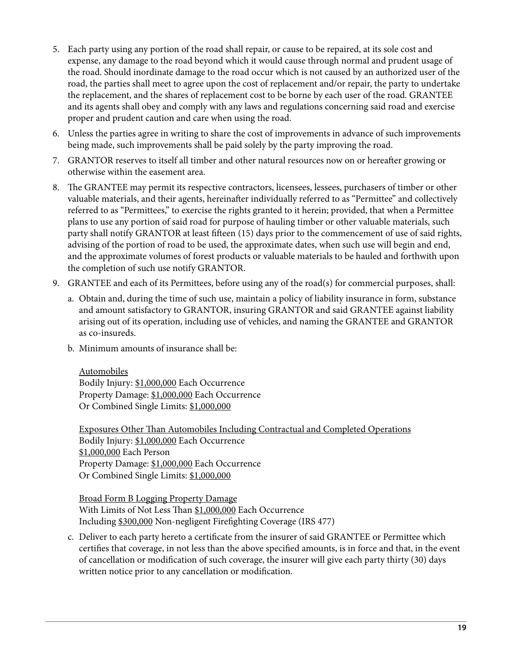- 5. Each party using any portion of the road shall repair, or cause to be repaired, at its sole cost and expense, any damage to the road beyond which it would cause through normal and prudent usage of the road. Should inordinate damage to the road occur which is not caused by an authorized user of the road, the parties shall meet to agree upon the cost of replacement and/or repair, the party to undertake the replacement, and the shares of replacement cost to be borne by each user of the road. GRANTEE and its agents shall obey and comply with any laws and regulations concerning said road and exercise proper and prudent caution and care when using the road.
- 6. Unless the parties agree in writing to share the cost of improvements in advance of such improvements being made, such improvements shall be paid solely by the party improving the road.
- 7. GRANTOR reserves to itself all timber and other natural resources now on or hereafter growing or otherwise within the easement area.
- 8. The GRANTEE may permit its respective contractors, licensees, lessees, purchasers of timber or other valuable materials, and their agents, hereinafter individually referred to as "Permittee" and collectively referred to as "Permittees," to exercise the rights granted to it herein; provided, that when a Permittee plans to use any portion of said road for purpose of hauling timber or other valuable materials, such party shall notify GRANTOR at least fifteen (15) days prior to the commencement of use of said rights, advising of the portion of road to be used, the approximate dates, when such use will begin and end, and the approximate volumes of forest products or valuable materials to be hauled and forthwith upon the completion of such use notify GRANTOR.
- 9. GRANTEE and each of its Permittees, before using any of the road(s) for commercial purposes, shall:
	- a. Obtain and, during the time of such use, maintain a policy of liability insurance in form, substance and amount satisfactory to GRANTOR, insuring GRANTOR and said GRANTEE against liability arising out of its operation, including use of vehicles, and naming the GRANTEE and GRANTOR as co-insureds.
	- b. Minimum amounts of insurance shall be:

Automobiles Bodily Injury: \$1,000,000 Each Occurrence Property Damage: \$1,000,000 Each Occurrence Or Combined Single Limits: \$1,000,000

Exposures Other Than Automobiles Including Contractual and Completed Operations Bodily Injury: \$1,000,000 Each Occurrence \$1,000,000 Each Person Property Damage: \$1,000,000 Each Occurrence Or Combined Single Limits: \$1,000,000

Broad Form B Logging Property Damage With Limits of Not Less Than \$1,000,000 Each Occurrence Including \$300,000 Non-negligent Firefighting Coverage (IRS 477)

c. Deliver to each party hereto a certificate from the insurer of said GRANTEE or Permittee which certifies that coverage, in not less than the above specified amounts, is in force and that, in the event of cancellation or modification of such coverage, the insurer will give each party thirty (30) days written notice prior to any cancellation or modification.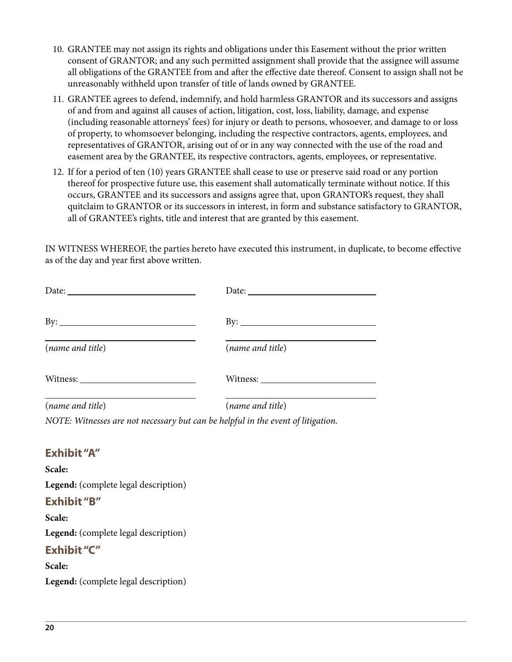- 10. GRANTEE may not assign its rights and obligations under this Easement without the prior written consent of GRANTOR; and any such permitted assignment shall provide that the assignee will assume all obligations of the GRANTEE from and after the effective date thereof. Consent to assign shall not be unreasonably withheld upon transfer of title of lands owned by GRANTEE.
- 11. GRANTEE agrees to defend, indemnify, and hold harmless GRANTOR and its successors and assigns of and from and against all causes of action, litigation, cost, loss, liability, damage, and expense (including reasonable attorneys' fees) for injury or death to persons, whosoever, and damage to or loss of property, to whomsoever belonging, including the respective contractors, agents, employees, and representatives of GRANTOR, arising out of or in any way connected with the use of the road and easement area by the GRANTEE, its respective contractors, agents, employees, or representative.
- 12. If for a period of ten (10) years GRANTEE shall cease to use or preserve said road or any portion thereof for prospective future use, this easement shall automatically terminate without notice. If this occurs, GRANTEE and its successors and assigns agree that, upon GRANTOR's request, they shall quitclaim to GRANTOR or its successors in interest, in form and substance satisfactory to GRANTOR, all of GRANTEE's rights, title and interest that are granted by this easement.

IN WITNESS WHEREOF, the parties hereto have executed this instrument, in duplicate, to become effective as of the day and year first above written.

| Date: $\frac{1}{\sqrt{1-\frac{1}{2}}\sqrt{1-\frac{1}{2}}\sqrt{1-\frac{1}{2}}\sqrt{1-\frac{1}{2}}\sqrt{1-\frac{1}{2}}\sqrt{1-\frac{1}{2}}\sqrt{1-\frac{1}{2}}\sqrt{1-\frac{1}{2}}\sqrt{1-\frac{1}{2}}\sqrt{1-\frac{1}{2}}\sqrt{1-\frac{1}{2}}\sqrt{1-\frac{1}{2}}\sqrt{1-\frac{1}{2}}\sqrt{1-\frac{1}{2}}\sqrt{1-\frac{1}{2}}\sqrt{1-\frac{1}{2}}\sqrt{1-\frac{1}{2}}\sqrt{1-\frac{1}{2}}\sqrt{1-\frac{1}{2}}$ | Date:               |
|---------------------------------------------------------------------------------------------------------------------------------------------------------------------------------------------------------------------------------------------------------------------------------------------------------------------------------------------------------------------------------------------------------------|---------------------|
| By: $\qquad \qquad$                                                                                                                                                                                                                                                                                                                                                                                           | By: $\qquad \qquad$ |
| (name and title)                                                                                                                                                                                                                                                                                                                                                                                              | (name and title)    |
|                                                                                                                                                                                                                                                                                                                                                                                                               |                     |
| (name and title)                                                                                                                                                                                                                                                                                                                                                                                              | (name and title)    |

*NOTE: Witnesses are not necessary but can be helpful in the event of litigation.*

#### **Exhibit "A"**

**Scale: Legend:** (complete legal description) **Exhibit "B" Scale: Legend:** (complete legal description) **Exhibit "C" Scale: Legend:** (complete legal description)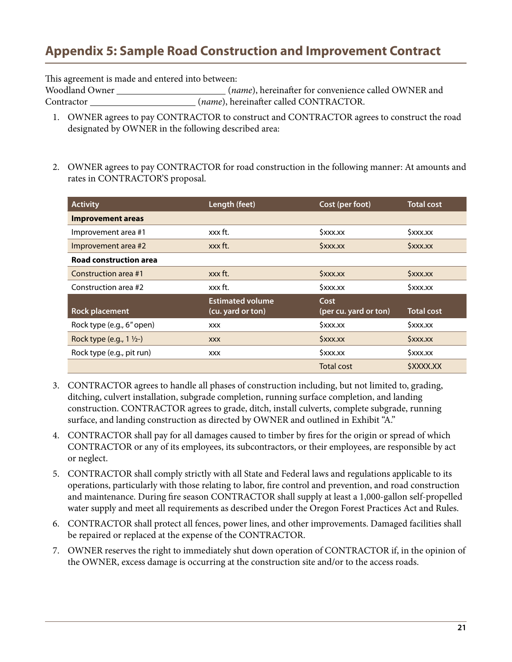## <span id="page-20-0"></span>**Appendix 5: Sample Road Construction and Improvement Contract**

This agreement is made and entered into between:

Woodland Owner (*name*), hereinafter for convenience called OWNER and Contractor (*name*), hereinafter called CONTRACTOR.

- 1. OWNER agrees to pay CONTRACTOR to construct and CONTRACTOR agrees to construct the road designated by OWNER in the following described area:
- 2. OWNER agrees to pay CONTRACTOR for road construction in the following manner: At amounts and rates in CONTRACTOR'S proposal.

| <b>Activity</b>                     | Length (feet)                                | Cost (per foot)               | <b>Total cost</b>             |
|-------------------------------------|----------------------------------------------|-------------------------------|-------------------------------|
| <b>Improvement areas</b>            |                                              |                               |                               |
| Improvement area #1                 | xxx ft.                                      | $S$ xxx.xx                    | Sxxx.xx                       |
| Improvement area #2                 | xxx ft.                                      | SXXX.XX                       | SXXX.XX                       |
| Road construction area              |                                              |                               |                               |
| Construction area #1                | xxx ft.                                      | $S$ <i>xxx.xx</i>             | $S$ xxx.xx                    |
| Construction area #2                | xxx ft.                                      | $S$ xxx.xx                    | $S$ xxx.xx                    |
| <b>Rock placement</b>               | <b>Estimated volume</b><br>(cu. yard or ton) | Cost<br>(per cu. yard or ton) | <b>Total cost</b>             |
| Rock type (e.g., 6" open)           | <b>XXX</b>                                   | $S$ xxx.xx                    | $S$ xxx.xx                    |
| Rock type (e.g., $1 \frac{1}{2}$ -) | <b>XXX</b>                                   | $S$ xxx.xx                    | <b><i><u>\$xxx.xx</u></i></b> |
| Rock type (e.g., pit run)           | <b>XXX</b>                                   | $S$ xxx.xx                    | \$xxx.xx                      |
|                                     |                                              | <b>Total cost</b>             | <i><b>SXXXX.XX</b></i>        |

- 3. CONTRACTOR agrees to handle all phases of construction including, but not limited to, grading, ditching, culvert installation, subgrade completion, running surface completion, and landing construction. CONTRACTOR agrees to grade, ditch, install culverts, complete subgrade, running surface, and landing construction as directed by OWNER and outlined in Exhibit "A."
- 4. CONTRACTOR shall pay for all damages caused to timber by fires for the origin or spread of which CONTRACTOR or any of its employees, its subcontractors, or their employees, are responsible by act or neglect.
- 5. CONTRACTOR shall comply strictly with all State and Federal laws and regulations applicable to its operations, particularly with those relating to labor, fire control and prevention, and road construction and maintenance. During fire season CONTRACTOR shall supply at least a 1,000-gallon self-propelled water supply and meet all requirements as described under the Oregon Forest Practices Act and Rules.
- 6. CONTRACTOR shall protect all fences, power lines, and other improvements. Damaged facilities shall be repaired or replaced at the expense of the CONTRACTOR.
- 7. OWNER reserves the right to immediately shut down operation of CONTRACTOR if, in the opinion of the OWNER, excess damage is occurring at the construction site and/or to the access roads.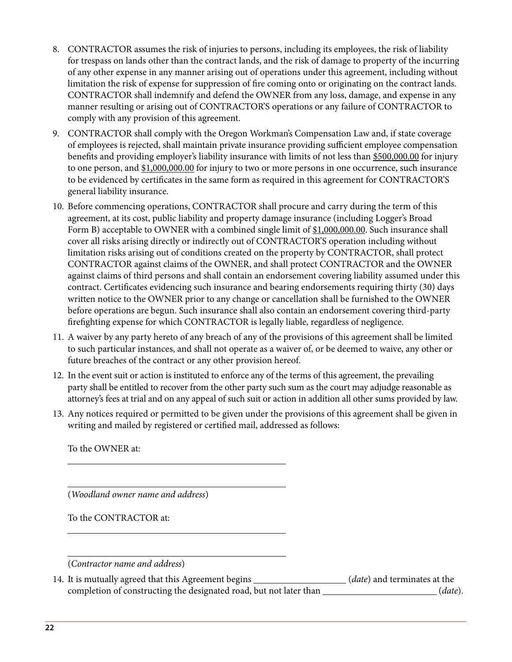- 8. CONTRACTOR assumes the risk of injuries to persons, including its employees, the risk of liability for trespass on lands other than the contract lands, and the risk of damage to property of the incurring of any other expense in any manner arising out of operations under this agreement, including without limitation the risk of expense for suppression of fire coming onto or originating on the contract lands. CONTRACTOR shall indemnify and defend the OWNER from any loss, damage, and expense in any manner resulting or arising out of CONTRACTOR'S operations or any failure of CONTRACTOR to comply with any provision of this agreement.
- 9. CONTRACTOR shall comply with the Oregon Workman's Compensation Law and, if state coverage of employees is rejected, shall maintain private insurance providing sufficient employee compensation benefits and providing employer's liability insurance with limits of not less than \$500,000.00 for injury to one person, and  $$1,000,000.00$  for injury to two or more persons in one occurrence, such insurance to be evidenced by certificates in the same form as required in this agreement for CONTRACTOR'S general liability insurance.
- 10. Before commencing operations, CONTRACTOR shall procure and carry during the term of this agreement, at its cost, public liability and property damage insurance (including Logger's Broad Form B) acceptable to OWNER with a combined single limit of \$1,000,000.00. Such insurance shall cover all risks arising directly or indirectly out of CONTRACTOR'S operation including without limitation risks arising out of conditions created on the property by CONTRACTOR, shall protect CONTRACTOR against claims of the OWNER, and shall protect CONTRACTOR and the OWNER against claims of third persons and shall contain an endorsement covering liability assumed under this contract. Certificates evidencing such insurance and bearing endorsements requiring thirty (30) days written notice to the OWNER prior to any change or cancellation shall be furnished to the OWNER before operations are begun. Such insurance shall also contain an endorsement covering third-party firefighting expense for which CONTRACTOR is legally liable, regardless of negligence.
- 11. A waiver by any party hereto of any breach of any of the provisions of this agreement shall be limited to such particular instances, and shall not operate as a waiver of, or be deemed to waive, any other or future breaches of the contract or any other provision hereof.
- 12. In the event suit or action is instituted to enforce any of the terms of this agreement, the prevailing party shall be entitled to recover from the other party such sum as the court may adjudge reasonable as attorney's fees at trial and on any appeal of such suit or action in addition all other sums provided by law.
- 13. Any notices required or permitted to be given under the provisions of this agreement shall be given in writing and mailed by registered or certified mail, addressed as follows:

To the OWNER at:

 $\overline{a}$ 

 $\overline{a}$ 

(*Woodland owner name and address*)

To the CONTRACTOR at:

(*Contractor name and address*)

14. It is mutually agreed that this Agreement begins (*date*) and terminates at the completion of constructing the designated road, but not later than  $(date)$ .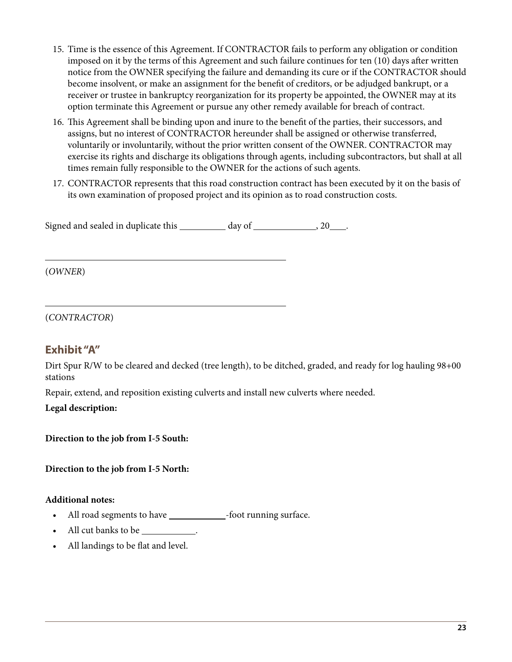- 15. Time is the essence of this Agreement. If CONTRACTOR fails to perform any obligation or condition imposed on it by the terms of this Agreement and such failure continues for ten (10) days after written notice from the OWNER specifying the failure and demanding its cure or if the CONTRACTOR should become insolvent, or make an assignment for the benefit of creditors, or be adjudged bankrupt, or a receiver or trustee in bankruptcy reorganization for its property be appointed, the OWNER may at its option terminate this Agreement or pursue any other remedy available for breach of contract.
- 16. This Agreement shall be binding upon and inure to the benefit of the parties, their successors, and assigns, but no interest of CONTRACTOR hereunder shall be assigned or otherwise transferred, voluntarily or involuntarily, without the prior written consent of the OWNER. CONTRACTOR may exercise its rights and discharge its obligations through agents, including subcontractors, but shall at all times remain fully responsible to the OWNER for the actions of such agents.
- 17. CONTRACTOR represents that this road construction contract has been executed by it on the basis of its own examination of proposed project and its opinion as to road construction costs.

Signed and sealed in duplicate this  $\_\_\_\_$  day of  $\_\_\_\_\_$ , 20  $\_\_\_\_\$ .

(*OWNER*)

 $\overline{a}$ 

 $\overline{a}$ 

#### (*CONTRACTOR*)

#### **Exhibit "A"**

Dirt Spur R/W to be cleared and decked (tree length), to be ditched, graded, and ready for log hauling 98+00 stations

Repair, extend, and reposition existing culverts and install new culverts where needed.

**Legal description:**

**Direction to the job from I-5 South:**

**Direction to the job from I-5 North:**

#### **Additional notes:**

- All road segments to have \_\_\_\_\_\_\_\_\_\_\_\_\_\_\_\_-foot running surface.
- All cut banks to be \_\_\_\_\_\_\_\_\_\_\_\_\_.
- All landings to be flat and level.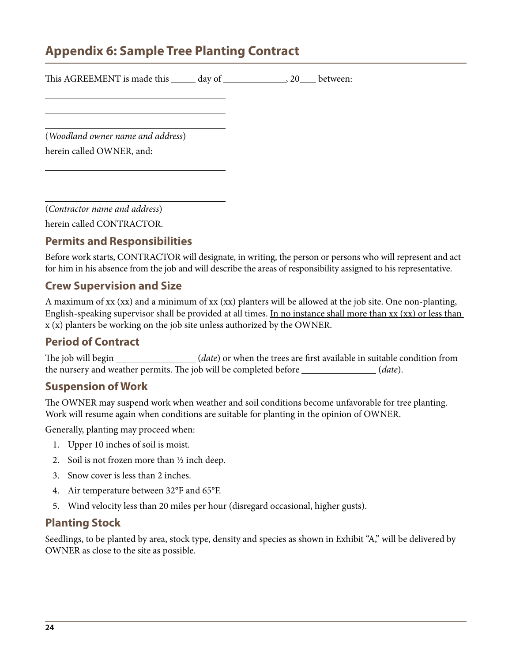## <span id="page-23-0"></span>**Appendix 6: Sample Tree Planting Contract**

| This AGREEMENT is made this ______ day of __________________, 20____ between: |  |  |
|-------------------------------------------------------------------------------|--|--|
|                                                                               |  |  |
| (Woodland owner name and address)                                             |  |  |
| herein called OWNER, and:                                                     |  |  |
|                                                                               |  |  |

(*Contractor name and address*)

herein called CONTRACTOR.

### **Permits and Responsibilities**

Before work starts, CONTRACTOR will designate, in writing, the person or persons who will represent and act for him in his absence from the job and will describe the areas of responsibility assigned to his representative.

#### **Crew Supervision and Size**

A maximum of  $xx$  ( $xx$ ) and a minimum of  $xx$  ( $xx$ ) planters will be allowed at the job site. One non-planting, English-speaking supervisor shall be provided at all times. In no instance shall more than xx (xx) or less than  $x(x)$  planters be working on the job site unless authorized by the OWNER.

#### **Period of Contract**

The job will begin \_\_\_\_\_\_\_\_\_\_\_\_\_\_(*date*) or when the trees are first available in suitable condition from the nursery and weather permits. The job will be completed before (*date*).

#### **Suspension of Work**

The OWNER may suspend work when weather and soil conditions become unfavorable for tree planting. Work will resume again when conditions are suitable for planting in the opinion of OWNER.

Generally, planting may proceed when:

- 1. Upper 10 inches of soil is moist.
- 2. Soil is not frozen more than  $\frac{1}{2}$  inch deep.
- 3. Snow cover is less than 2 inches.
- 4. Air temperature between 32°F and 65°F.
- 5. Wind velocity less than 20 miles per hour (disregard occasional, higher gusts).

#### **Planting Stock**

Seedlings, to be planted by area, stock type, density and species as shown in Exhibit "A," will be delivered by OWNER as close to the site as possible.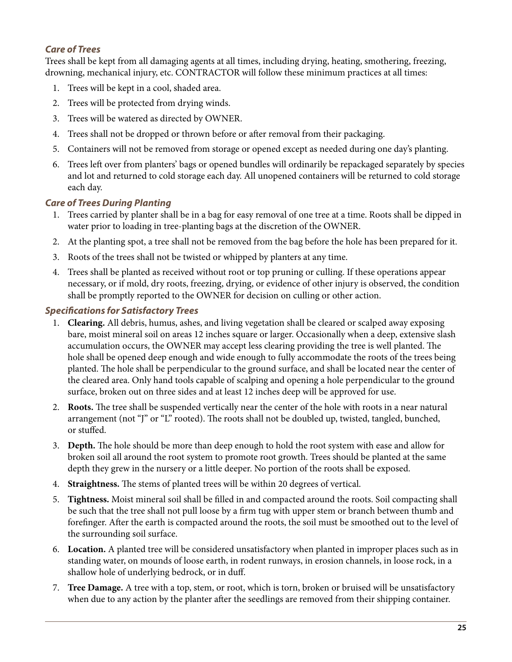#### *Care of Trees*

Trees shall be kept from all damaging agents at all times, including drying, heating, smothering, freezing, drowning, mechanical injury, etc. CONTRACTOR will follow these minimum practices at all times:

- 1. Trees will be kept in a cool, shaded area.
- 2. Trees will be protected from drying winds.
- 3. Trees will be watered as directed by OWNER.
- 4. Trees shall not be dropped or thrown before or after removal from their packaging.
- 5. Containers will not be removed from storage or opened except as needed during one day's planting.
- 6. Trees left over from planters' bags or opened bundles will ordinarily be repackaged separately by species and lot and returned to cold storage each day. All unopened containers will be returned to cold storage each day.

#### *Care of Trees During Planting*

- 1. Trees carried by planter shall be in a bag for easy removal of one tree at a time. Roots shall be dipped in water prior to loading in tree-planting bags at the discretion of the OWNER.
- 2. At the planting spot, a tree shall not be removed from the bag before the hole has been prepared for it.
- 3. Roots of the trees shall not be twisted or whipped by planters at any time.
- 4. Trees shall be planted as received without root or top pruning or culling. If these operations appear necessary, or if mold, dry roots, freezing, drying, or evidence of other injury is observed, the condition shall be promptly reported to the OWNER for decision on culling or other action.

#### *Specifications for Satisfactory Trees*

- 1. **Clearing.** All debris, humus, ashes, and living vegetation shall be cleared or scalped away exposing bare, moist mineral soil on areas 12 inches square or larger. Occasionally when a deep, extensive slash accumulation occurs, the OWNER may accept less clearing providing the tree is well planted. The hole shall be opened deep enough and wide enough to fully accommodate the roots of the trees being planted. The hole shall be perpendicular to the ground surface, and shall be located near the center of the cleared area. Only hand tools capable of scalping and opening a hole perpendicular to the ground surface, broken out on three sides and at least 12 inches deep will be approved for use.
- 2. **Roots.** The tree shall be suspended vertically near the center of the hole with roots in a near natural arrangement (not "J" or "L" rooted). The roots shall not be doubled up, twisted, tangled, bunched, or stuffed.
- 3. **Depth.** The hole should be more than deep enough to hold the root system with ease and allow for broken soil all around the root system to promote root growth. Trees should be planted at the same depth they grew in the nursery or a little deeper. No portion of the roots shall be exposed.
- 4. **Straightness.** The stems of planted trees will be within 20 degrees of vertical.
- 5. **Tightness.** Moist mineral soil shall be filled in and compacted around the roots. Soil compacting shall be such that the tree shall not pull loose by a firm tug with upper stem or branch between thumb and forefinger. After the earth is compacted around the roots, the soil must be smoothed out to the level of the surrounding soil surface.
- 6. **Location.** A planted tree will be considered unsatisfactory when planted in improper places such as in standing water, on mounds of loose earth, in rodent runways, in erosion channels, in loose rock, in a shallow hole of underlying bedrock, or in duff.
- 7. **Tree Damage.** A tree with a top, stem, or root, which is torn, broken or bruised will be unsatisfactory when due to any action by the planter after the seedlings are removed from their shipping container.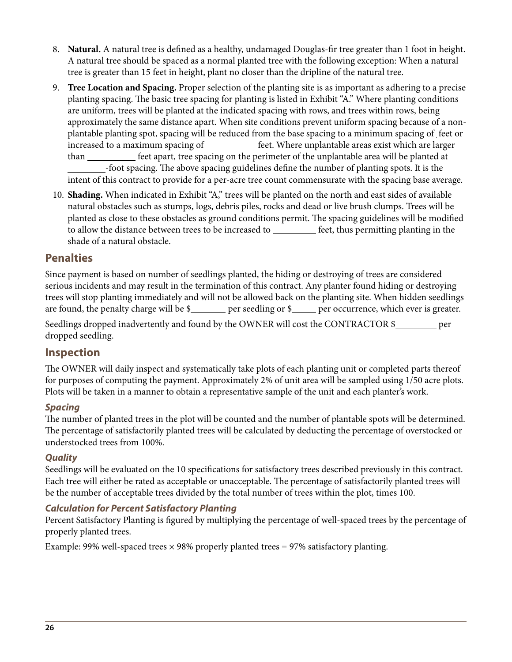- 8. **Natural.** A natural tree is defined as a healthy, undamaged Douglas-fir tree greater than 1 foot in height. A natural tree should be spaced as a normal planted tree with the following exception: When a natural tree is greater than 15 feet in height, plant no closer than the dripline of the natural tree.
- 9. **Tree Location and Spacing.** Proper selection of the planting site is as important as adhering to a precise planting spacing. The basic tree spacing for planting is listed in Exhibit "A." Where planting conditions are uniform, trees will be planted at the indicated spacing with rows, and trees within rows, being approximately the same distance apart. When site conditions prevent uniform spacing because of a nonplantable planting spot, spacing will be reduced from the base spacing to a minimum spacing of feet or increased to a maximum spacing of **fact** of feet. Where unplantable areas exist which are larger than feet apart, tree spacing on the perimeter of the unplantable area will be planted at -foot spacing. The above spacing guidelines define the number of planting spots. It is the intent of this contract to provide for a per-acre tree count commensurate with the spacing base average.
- 10. **Shading.** When indicated in Exhibit "A," trees will be planted on the north and east sides of available natural obstacles such as stumps, logs, debris piles, rocks and dead or live brush clumps. Trees will be planted as close to these obstacles as ground conditions permit. The spacing guidelines will be modified to allow the distance between trees to be increased to <u>feet</u>, thus permitting planting in the shade of a natural obstacle.

#### **Penalties**

Since payment is based on number of seedlings planted, the hiding or destroying of trees are considered serious incidents and may result in the termination of this contract. Any planter found hiding or destroying trees will stop planting immediately and will not be allowed back on the planting site. When hidden seedlings are found, the penalty charge will be \$\_\_\_\_\_\_ per seedling or \$\_\_\_\_ per occurrence, which ever is greater.

Seedlings dropped inadvertently and found by the OWNER will cost the CONTRACTOR \$ dropped seedling.

#### **Inspection**

The OWNER will daily inspect and systematically take plots of each planting unit or completed parts thereof for purposes of computing the payment. Approximately 2% of unit area will be sampled using 1/50 acre plots. Plots will be taken in a manner to obtain a representative sample of the unit and each planter's work.

#### *Spacing*

The number of planted trees in the plot will be counted and the number of plantable spots will be determined. The percentage of satisfactorily planted trees will be calculated by deducting the percentage of overstocked or understocked trees from 100%.

#### *Quality*

Seedlings will be evaluated on the 10 specifications for satisfactory trees described previously in this contract. Each tree will either be rated as acceptable or unacceptable. The percentage of satisfactorily planted trees will be the number of acceptable trees divided by the total number of trees within the plot, times 100.

#### *Calculation for Percent Satisfactory Planting*

Percent Satisfactory Planting is figured by multiplying the percentage of well-spaced trees by the percentage of properly planted trees.

Example: 99% well-spaced trees  $\times$  98% properly planted trees = 97% satisfactory planting.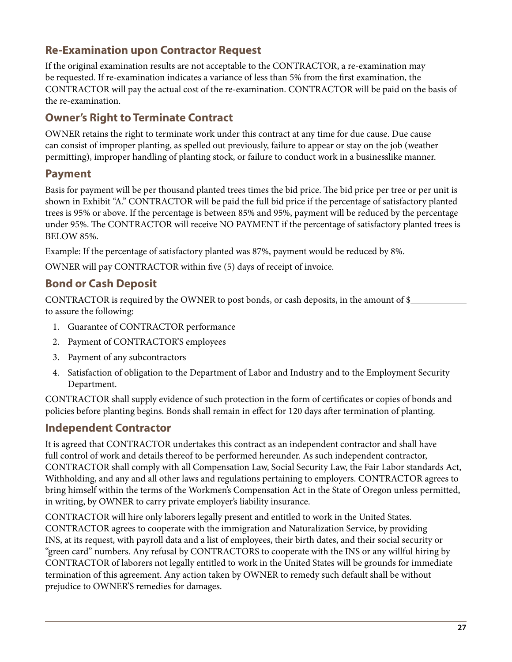### **Re-Examination upon Contractor Request**

If the original examination results are not acceptable to the CONTRACTOR, a re-examination may be requested. If re-examination indicates a variance of less than 5% from the first examination, the CONTRACTOR will pay the actual cost of the re-examination. CONTRACTOR will be paid on the basis of the re-examination.

### **Owner's Right to Terminate Contract**

OWNER retains the right to terminate work under this contract at any time for due cause. Due cause can consist of improper planting, as spelled out previously, failure to appear or stay on the job (weather permitting), improper handling of planting stock, or failure to conduct work in a businesslike manner.

### **Payment**

Basis for payment will be per thousand planted trees times the bid price. The bid price per tree or per unit is shown in Exhibit "A." CONTRACTOR will be paid the full bid price if the percentage of satisfactory planted trees is 95% or above. If the percentage is between 85% and 95%, payment will be reduced by the percentage under 95%. The CONTRACTOR will receive NO PAYMENT if the percentage of satisfactory planted trees is BELOW 85%.

Example: If the percentage of satisfactory planted was 87%, payment would be reduced by 8%.

OWNER will pay CONTRACTOR within five (5) days of receipt of invoice.

### **Bond or Cash Deposit**

CONTRACTOR is required by the OWNER to post bonds, or cash deposits, in the amount of \$ to assure the following:

- 1. Guarantee of CONTRACTOR performance
- 2. Payment of CONTRACTOR'S employees
- 3. Payment of any subcontractors
- 4. Satisfaction of obligation to the Department of Labor and Industry and to the Employment Security Department.

CONTRACTOR shall supply evidence of such protection in the form of certificates or copies of bonds and policies before planting begins. Bonds shall remain in effect for 120 days after termination of planting.

### **Independent Contractor**

It is agreed that CONTRACTOR undertakes this contract as an independent contractor and shall have full control of work and details thereof to be performed hereunder. As such independent contractor, CONTRACTOR shall comply with all Compensation Law, Social Security Law, the Fair Labor standards Act, Withholding, and any and all other laws and regulations pertaining to employers. CONTRACTOR agrees to bring himself within the terms of the Workmen's Compensation Act in the State of Oregon unless permitted, in writing, by OWNER to carry private employer's liability insurance.

CONTRACTOR will hire only laborers legally present and entitled to work in the United States. CONTRACTOR agrees to cooperate with the immigration and Naturalization Service, by providing INS, at its request, with payroll data and a list of employees, their birth dates, and their social security or "green card" numbers. Any refusal by CONTRACTORS to cooperate with the INS or any willful hiring by CONTRACTOR of laborers not legally entitled to work in the United States will be grounds for immediate termination of this agreement. Any action taken by OWNER to remedy such default shall be without prejudice to OWNER'S remedies for damages.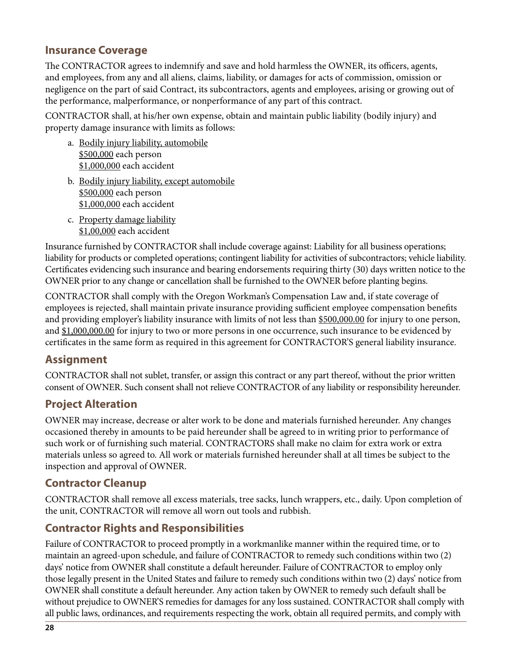### **Insurance Coverage**

The CONTRACTOR agrees to indemnify and save and hold harmless the OWNER, its officers, agents, and employees, from any and all aliens, claims, liability, or damages for acts of commission, omission or negligence on the part of said Contract, its subcontractors, agents and employees, arising or growing out of the performance, malperformance, or nonperformance of any part of this contract.

CONTRACTOR shall, at his/her own expense, obtain and maintain public liability (bodily injury) and property damage insurance with limits as follows:

- a. Bodily injury liability, automobile \$500,000 each person \$1,000,000 each accident
- b. Bodily injury liability, except automobile \$500,000 each person \$1,000,000 each accident
- c. Property damage liability \$1,00,000 each accident

Insurance furnished by CONTRACTOR shall include coverage against: Liability for all business operations; liability for products or completed operations; contingent liability for activities of subcontractors; vehicle liability. Certificates evidencing such insurance and bearing endorsements requiring thirty (30) days written notice to the OWNER prior to any change or cancellation shall be furnished to the OWNER before planting begins.

CONTRACTOR shall comply with the Oregon Workman's Compensation Law and, if state coverage of employees is rejected, shall maintain private insurance providing sufficient employee compensation benefits and providing employer's liability insurance with limits of not less than \$500,000.00 for injury to one person, and \$1,000,000.00 for injury to two or more persons in one occurrence, such insurance to be evidenced by certificates in the same form as required in this agreement for CONTRACTOR'S general liability insurance.

### **Assignment**

CONTRACTOR shall not sublet, transfer, or assign this contract or any part thereof, without the prior written consent of OWNER. Such consent shall not relieve CONTRACTOR of any liability or responsibility hereunder.

### **Project Alteration**

OWNER may increase, decrease or alter work to be done and materials furnished hereunder. Any changes occasioned thereby in amounts to be paid hereunder shall be agreed to in writing prior to performance of such work or of furnishing such material. CONTRACTORS shall make no claim for extra work or extra materials unless so agreed to. All work or materials furnished hereunder shall at all times be subject to the inspection and approval of OWNER.

### **Contractor Cleanup**

CONTRACTOR shall remove all excess materials, tree sacks, lunch wrappers, etc., daily. Upon completion of the unit, CONTRACTOR will remove all worn out tools and rubbish.

### **Contractor Rights and Responsibilities**

Failure of CONTRACTOR to proceed promptly in a workmanlike manner within the required time, or to maintain an agreed-upon schedule, and failure of CONTRACTOR to remedy such conditions within two (2) days' notice from OWNER shall constitute a default hereunder. Failure of CONTRACTOR to employ only those legally present in the United States and failure to remedy such conditions within two (2) days' notice from OWNER shall constitute a default hereunder. Any action taken by OWNER to remedy such default shall be without prejudice to OWNER'S remedies for damages for any loss sustained. CONTRACTOR shall comply with all public laws, ordinances, and requirements respecting the work, obtain all required permits, and comply with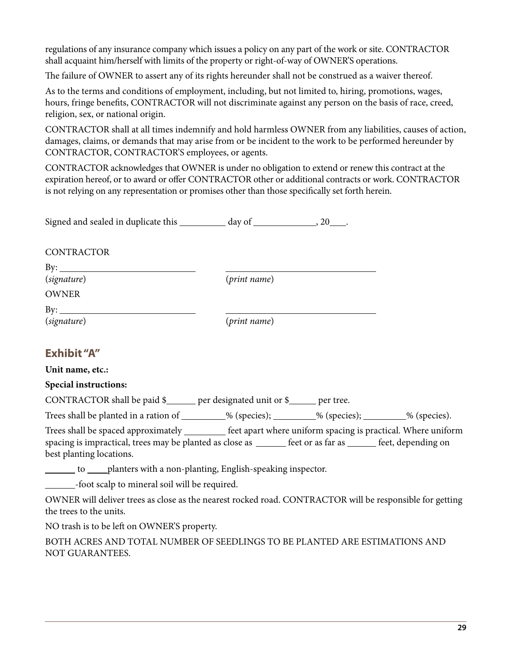regulations of any insurance company which issues a policy on any part of the work or site. CONTRACTOR shall acquaint him/herself with limits of the property or right-of-way of OWNER'S operations.

The failure of OWNER to assert any of its rights hereunder shall not be construed as a waiver thereof.

As to the terms and conditions of employment, including, but not limited to, hiring, promotions, wages, hours, fringe benefits, CONTRACTOR will not discriminate against any person on the basis of race, creed, religion, sex, or national origin.

CONTRACTOR shall at all times indemnify and hold harmless OWNER from any liabilities, causes of action, damages, claims, or demands that may arise from or be incident to the work to be performed hereunder by CONTRACTOR, CONTRACTOR'S employees, or agents.

CONTRACTOR acknowledges that OWNER is under no obligation to extend or renew this contract at the expiration hereof, or to award or offer CONTRACTOR other or additional contracts or work. CONTRACTOR is not relying on any representation or promises other than those specifically set forth herein.

Signed and sealed in duplicate this \_\_\_\_\_\_\_\_\_\_ day of \_\_\_\_\_\_\_\_\_\_\_\_\_\_\_, 20 .

CONTRACTOR

 $By:$ **OWNER** 

(*signature*) (*print name*)

 $By:$ 

(*signature*) (*print name*)

### **Exhibit "A"**

**Unit name, etc.:**

**Special instructions:**

CONTRACTOR shall be paid  $\frac{1}{2}$  per designated unit or  $\frac{1}{2}$  per tree.

Trees shall be planted in a ration of \_\_\_\_\_\_\_\_% (species); \_\_\_\_\_\_\_\_% (species); \_\_\_\_\_\_\_% (species).

Trees shall be spaced approximately **feet apart where uniform spacing is practical**. Where uniform spacing is impractical, trees may be planted as close as <u>feet or as far as</u> feet, depending on best planting locations.

to planters with a non-planting, English-speaking inspector.

-foot scalp to mineral soil will be required.

OWNER will deliver trees as close as the nearest rocked road. CONTRACTOR will be responsible for getting the trees to the units.

NO trash is to be left on OWNER'S property.

BOTH ACRES AND TOTAL NUMBER OF SEEDLINGS TO BE PLANTED ARE ESTIMATIONS AND NOT GUARANTEES.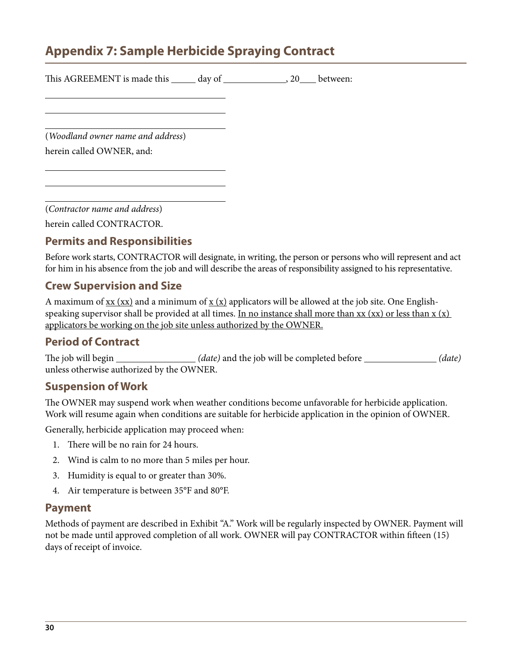## <span id="page-29-0"></span>**Appendix 7: Sample Herbicide Spraying Contract**

| This AGREEMENT is made this ______ day of __________________, 20____ between: |  |  |
|-------------------------------------------------------------------------------|--|--|
|                                                                               |  |  |
| (Woodland owner name and address)                                             |  |  |
| herein called OWNER, and:                                                     |  |  |
|                                                                               |  |  |
|                                                                               |  |  |

(*Contractor name and address*)

herein called CONTRACTOR.

### **Permits and Responsibilities**

Before work starts, CONTRACTOR will designate, in writing, the person or persons who will represent and act for him in his absence from the job and will describe the areas of responsibility assigned to his representative.

#### **Crew Supervision and Size**

A maximum of  $xx$  (xx) and a minimum of  $x$  (x) applicators will be allowed at the job site. One Englishspeaking supervisor shall be provided at all times. In no instance shall more than  $xx$  (xx) or less than  $x$  (x) applicators be working on the job site unless authorized by the OWNER.

#### **Period of Contract**

The job will begin *(date)* and the job will be completed before *(date)* unless otherwise authorized by the OWNER.

#### **Suspension of Work**

The OWNER may suspend work when weather conditions become unfavorable for herbicide application. Work will resume again when conditions are suitable for herbicide application in the opinion of OWNER.

Generally, herbicide application may proceed when:

- 1. There will be no rain for 24 hours.
- 2. Wind is calm to no more than 5 miles per hour.
- 3. Humidity is equal to or greater than 30%.
- 4. Air temperature is between 35°F and 80°F.

#### **Payment**

Methods of payment are described in Exhibit "A." Work will be regularly inspected by OWNER. Payment will not be made until approved completion of all work. OWNER will pay CONTRACTOR within fifteen (15) days of receipt of invoice.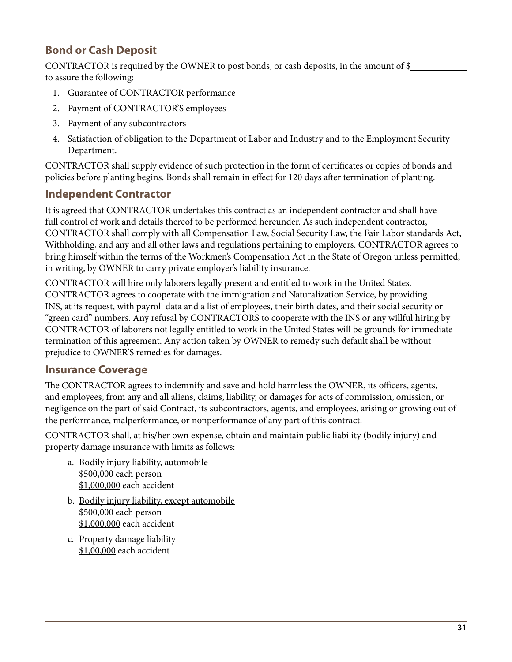### **Bond or Cash Deposit**

CONTRACTOR is required by the OWNER to post bonds, or cash deposits, in the amount of \$ to assure the following:

- 1. Guarantee of CONTRACTOR performance
- 2. Payment of CONTRACTOR'S employees
- 3. Payment of any subcontractors
- 4. Satisfaction of obligation to the Department of Labor and Industry and to the Employment Security Department.

CONTRACTOR shall supply evidence of such protection in the form of certificates or copies of bonds and policies before planting begins. Bonds shall remain in effect for 120 days after termination of planting.

### **Independent Contractor**

It is agreed that CONTRACTOR undertakes this contract as an independent contractor and shall have full control of work and details thereof to be performed hereunder. As such independent contractor, CONTRACTOR shall comply with all Compensation Law, Social Security Law, the Fair Labor standards Act, Withholding, and any and all other laws and regulations pertaining to employers. CONTRACTOR agrees to bring himself within the terms of the Workmen's Compensation Act in the State of Oregon unless permitted, in writing, by OWNER to carry private employer's liability insurance.

CONTRACTOR will hire only laborers legally present and entitled to work in the United States. CONTRACTOR agrees to cooperate with the immigration and Naturalization Service, by providing INS, at its request, with payroll data and a list of employees, their birth dates, and their social security or "green card" numbers. Any refusal by CONTRACTORS to cooperate with the INS or any willful hiring by CONTRACTOR of laborers not legally entitled to work in the United States will be grounds for immediate termination of this agreement. Any action taken by OWNER to remedy such default shall be without prejudice to OWNER'S remedies for damages.

### **Insurance Coverage**

The CONTRACTOR agrees to indemnify and save and hold harmless the OWNER, its officers, agents, and employees, from any and all aliens, claims, liability, or damages for acts of commission, omission, or negligence on the part of said Contract, its subcontractors, agents, and employees, arising or growing out of the performance, malperformance, or nonperformance of any part of this contract.

CONTRACTOR shall, at his/her own expense, obtain and maintain public liability (bodily injury) and property damage insurance with limits as follows:

- a. Bodily injury liability, automobile \$500,000 each person \$1,000,000 each accident
- b. Bodily injury liability, except automobile \$500,000 each person \$1,000,000 each accident
- c. Property damage liability \$1,00,000 each accident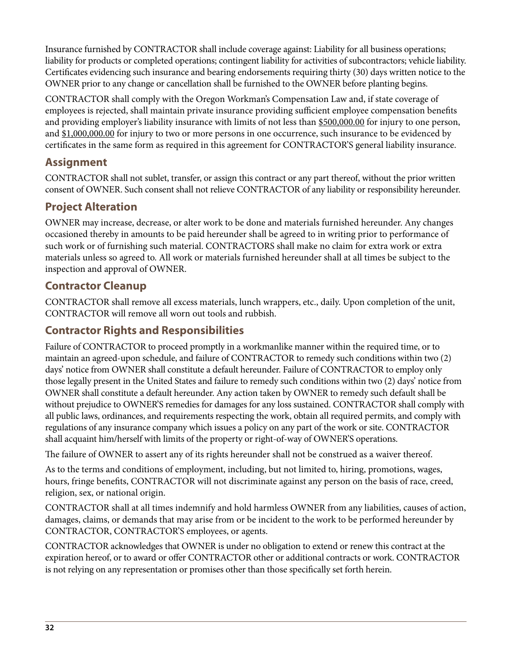Insurance furnished by CONTRACTOR shall include coverage against: Liability for all business operations; liability for products or completed operations; contingent liability for activities of subcontractors; vehicle liability. Certificates evidencing such insurance and bearing endorsements requiring thirty (30) days written notice to the OWNER prior to any change or cancellation shall be furnished to the OWNER before planting begins.

CONTRACTOR shall comply with the Oregon Workman's Compensation Law and, if state coverage of employees is rejected, shall maintain private insurance providing sufficient employee compensation benefits and providing employer's liability insurance with limits of not less than \$500,000.00 for injury to one person, and \$1,000,000.00 for injury to two or more persons in one occurrence, such insurance to be evidenced by certificates in the same form as required in this agreement for CONTRACTOR'S general liability insurance.

### **Assignment**

CONTRACTOR shall not sublet, transfer, or assign this contract or any part thereof, without the prior written consent of OWNER. Such consent shall not relieve CONTRACTOR of any liability or responsibility hereunder.

### **Project Alteration**

OWNER may increase, decrease, or alter work to be done and materials furnished hereunder. Any changes occasioned thereby in amounts to be paid hereunder shall be agreed to in writing prior to performance of such work or of furnishing such material. CONTRACTORS shall make no claim for extra work or extra materials unless so agreed to. All work or materials furnished hereunder shall at all times be subject to the inspection and approval of OWNER.

### **Contractor Cleanup**

CONTRACTOR shall remove all excess materials, lunch wrappers, etc., daily. Upon completion of the unit, CONTRACTOR will remove all worn out tools and rubbish.

### **Contractor Rights and Responsibilities**

Failure of CONTRACTOR to proceed promptly in a workmanlike manner within the required time, or to maintain an agreed-upon schedule, and failure of CONTRACTOR to remedy such conditions within two (2) days' notice from OWNER shall constitute a default hereunder. Failure of CONTRACTOR to employ only those legally present in the United States and failure to remedy such conditions within two (2) days' notice from OWNER shall constitute a default hereunder. Any action taken by OWNER to remedy such default shall be without prejudice to OWNER'S remedies for damages for any loss sustained. CONTRACTOR shall comply with all public laws, ordinances, and requirements respecting the work, obtain all required permits, and comply with regulations of any insurance company which issues a policy on any part of the work or site. CONTRACTOR shall acquaint him/herself with limits of the property or right-of-way of OWNER'S operations.

The failure of OWNER to assert any of its rights hereunder shall not be construed as a waiver thereof.

As to the terms and conditions of employment, including, but not limited to, hiring, promotions, wages, hours, fringe benefits, CONTRACTOR will not discriminate against any person on the basis of race, creed, religion, sex, or national origin.

CONTRACTOR shall at all times indemnify and hold harmless OWNER from any liabilities, causes of action, damages, claims, or demands that may arise from or be incident to the work to be performed hereunder by CONTRACTOR, CONTRACTOR'S employees, or agents.

CONTRACTOR acknowledges that OWNER is under no obligation to extend or renew this contract at the expiration hereof, or to award or offer CONTRACTOR other or additional contracts or work. CONTRACTOR is not relying on any representation or promises other than those specifically set forth herein.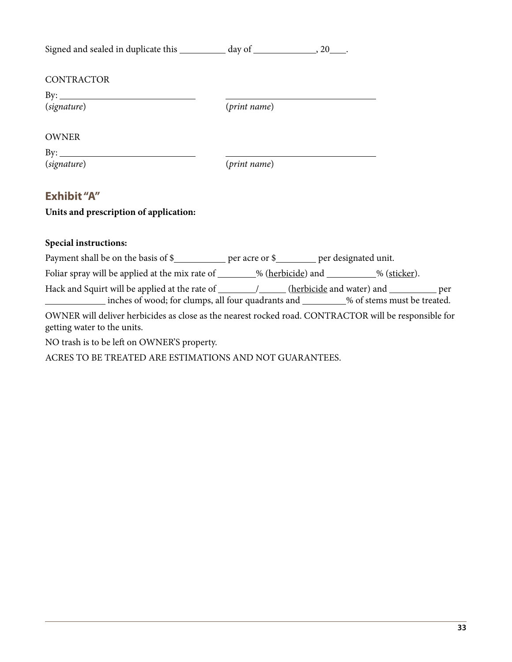| Signed and sealed in duplicate this ___________ day of ________________, 20____. |              |  |
|----------------------------------------------------------------------------------|--------------|--|
| CONTRACTOR<br>By: $\qquad \qquad$<br>(signature)                                 | (print name) |  |
| <b>OWNER</b><br>(signature)                                                      | (print name) |  |
| <b>Exhibit "A"</b><br>Units and prescription of application:                     |              |  |
| <b>Special instructions:</b>                                                     |              |  |

| Payment shall be on the basis of \$_____________ per acre or \$__________ per designated unit.                                       |  |  |
|--------------------------------------------------------------------------------------------------------------------------------------|--|--|
| Foliar spray will be applied at the mix rate of _______% (herbicide) and ________% (sticker).                                        |  |  |
| inches of wood; for clumps, all four quadrants and _________% of stems must be treated.                                              |  |  |
| OWNER will deliver herbicides as close as the nearest rocked road. CONTRACTOR will be responsible for<br>getting water to the units. |  |  |
| NO trash is to be left on OWNER'S property.                                                                                          |  |  |
| ACRES TO BE TREATED ARE ESTIMATIONS AND NOT GUARANTEES.                                                                              |  |  |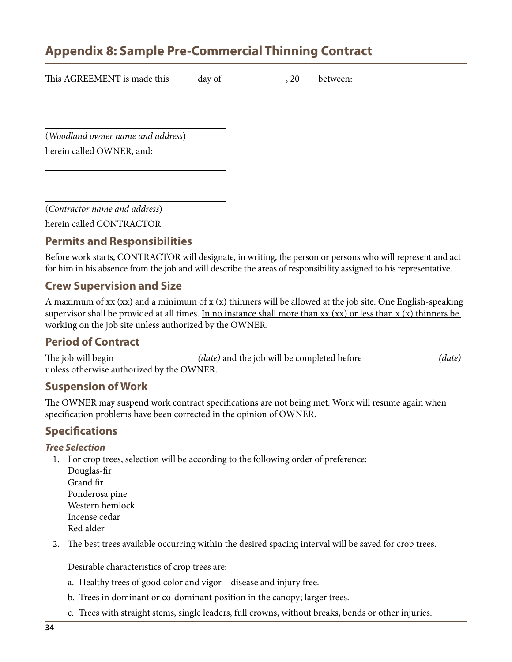## <span id="page-33-0"></span>**Appendix 8: Sample Pre-Commercial Thinning Contract**

| This AGREEMENT is made this ______ day of _________________, 20____ between: |  |  |
|------------------------------------------------------------------------------|--|--|
|                                                                              |  |  |
| (Woodland owner name and address)                                            |  |  |
| herein called OWNER, and:                                                    |  |  |
|                                                                              |  |  |
|                                                                              |  |  |

(*Contractor name and address*)

herein called CONTRACTOR.

### **Permits and Responsibilities**

Before work starts, CONTRACTOR will designate, in writing, the person or persons who will represent and act for him in his absence from the job and will describe the areas of responsibility assigned to his representative.

#### **Crew Supervision and Size**

A maximum of  $\overline{\text{xx}}$  ( $\overline{\text{xx}}$ ) and a minimum of  $\overline{\text{x}}$  ( $\overline{\text{x}}$ ) thinners will be allowed at the job site. One English-speaking supervisor shall be provided at all times. In no instance shall more than  $xx$  (xx) or less than  $x$  (x) thinners be working on the job site unless authorized by the OWNER.

#### **Period of Contract**

The job will begin *(date)* and the job will be completed before *(date)* unless otherwise authorized by the OWNER.

#### **Suspension of Work**

The OWNER may suspend work contract specifications are not being met. Work will resume again when specification problems have been corrected in the opinion of OWNER.

### **Specifications**

#### *Tree Selection*

- 1. For crop trees, selection will be according to the following order of preference:
	- Douglas-fir Grand fir Ponderosa pine Western hemlock Incense cedar Red alder
- 2. The best trees available occurring within the desired spacing interval will be saved for crop trees.

Desirable characteristics of crop trees are:

- a. Healthy trees of good color and vigor disease and injury free.
- b. Trees in dominant or co-dominant position in the canopy; larger trees.
- c. Trees with straight stems, single leaders, full crowns, without breaks, bends or other injuries.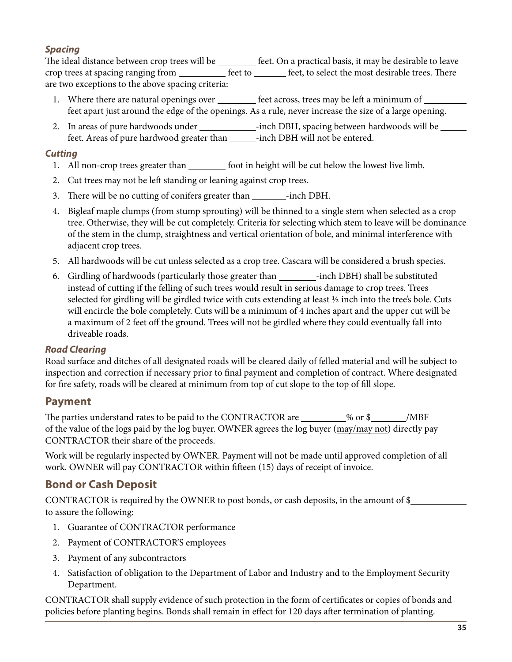#### *Spacing*

The ideal distance between crop trees will be *feet*. On a practical basis, it may be desirable to leave crop trees at spacing ranging from <u>section feet to feet</u>, to select the most desirable trees. There are two exceptions to the above spacing criteria:

- 1. Where there are natural openings over \_\_\_\_\_\_\_\_\_ feet across, trees may be left a minimum of \_\_\_\_\_\_\_\_\_ feet apart just around the edge of the openings. As a rule, never increase the size of a large opening.
- 2. In areas of pure hardwoods under \_\_\_\_\_\_\_\_\_\_\_\_\_-inch DBH, spacing between hardwoods will be \_\_\_\_\_\_ feet. Areas of pure hardwood greater than \_\_\_\_\_\_-inch DBH will not be entered.

#### *Cutting*

- 1. All non-crop trees greater than foot in height will be cut below the lowest live limb.
- 2. Cut trees may not be left standing or leaning against crop trees.
- 3. There will be no cutting of conifers greater than \_\_\_\_\_\_\_\_-inch DBH.
- 4. Bigleaf maple clumps (from stump sprouting) will be thinned to a single stem when selected as a crop tree. Otherwise, they will be cut completely. Criteria for selecting which stem to leave will be dominance of the stem in the clump, straightness and vertical orientation of bole, and minimal interference with adjacent crop trees.
- 5. All hardwoods will be cut unless selected as a crop tree. Cascara will be considered a brush species.
- 6. Girdling of hardwoods (particularly those greater than \_\_\_\_\_\_\_\_\_-inch DBH) shall be substituted instead of cutting if the felling of such trees would result in serious damage to crop trees. Trees selected for girdling will be girdled twice with cuts extending at least  $\frac{1}{2}$  inch into the tree's bole. Cuts will encircle the bole completely. Cuts will be a minimum of 4 inches apart and the upper cut will be a maximum of 2 feet off the ground. Trees will not be girdled where they could eventually fall into driveable roads.

#### *Road Clearing*

Road surface and ditches of all designated roads will be cleared daily of felled material and will be subject to inspection and correction if necessary prior to final payment and completion of contract. Where designated for fire safety, roads will be cleared at minimum from top of cut slope to the top of fill slope.

#### **Payment**

The parties understand rates to be paid to the CONTRACTOR are  $\_\_\_\_\_$  % or \$ $\_\_\_\_$ /MBF of the value of the logs paid by the log buyer. OWNER agrees the log buyer (may/may not) directly pay CONTRACTOR their share of the proceeds.

Work will be regularly inspected by OWNER. Payment will not be made until approved completion of all work. OWNER will pay CONTRACTOR within fifteen (15) days of receipt of invoice.

### **Bond or Cash Deposit**

CONTRACTOR is required by the OWNER to post bonds, or cash deposits, in the amount of \$ to assure the following:

- 1. Guarantee of CONTRACTOR performance
- 2. Payment of CONTRACTOR'S employees
- 3. Payment of any subcontractors
- 4. Satisfaction of obligation to the Department of Labor and Industry and to the Employment Security Department.

CONTRACTOR shall supply evidence of such protection in the form of certificates or copies of bonds and policies before planting begins. Bonds shall remain in effect for 120 days after termination of planting.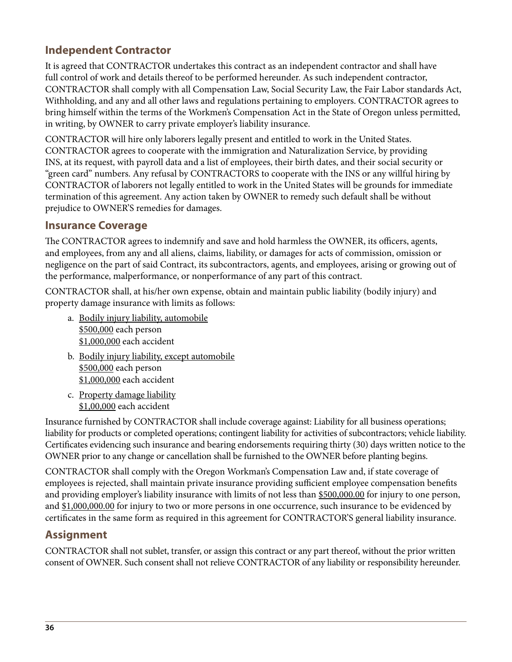### **Independent Contractor**

It is agreed that CONTRACTOR undertakes this contract as an independent contractor and shall have full control of work and details thereof to be performed hereunder. As such independent contractor, CONTRACTOR shall comply with all Compensation Law, Social Security Law, the Fair Labor standards Act, Withholding, and any and all other laws and regulations pertaining to employers. CONTRACTOR agrees to bring himself within the terms of the Workmen's Compensation Act in the State of Oregon unless permitted, in writing, by OWNER to carry private employer's liability insurance.

CONTRACTOR will hire only laborers legally present and entitled to work in the United States. CONTRACTOR agrees to cooperate with the immigration and Naturalization Service, by providing INS, at its request, with payroll data and a list of employees, their birth dates, and their social security or "green card" numbers. Any refusal by CONTRACTORS to cooperate with the INS or any willful hiring by CONTRACTOR of laborers not legally entitled to work in the United States will be grounds for immediate termination of this agreement. Any action taken by OWNER to remedy such default shall be without prejudice to OWNER'S remedies for damages.

### **Insurance Coverage**

The CONTRACTOR agrees to indemnify and save and hold harmless the OWNER, its officers, agents, and employees, from any and all aliens, claims, liability, or damages for acts of commission, omission or negligence on the part of said Contract, its subcontractors, agents, and employees, arising or growing out of the performance, malperformance, or nonperformance of any part of this contract.

CONTRACTOR shall, at his/her own expense, obtain and maintain public liability (bodily injury) and property damage insurance with limits as follows:

- a. Bodily injury liability, automobile \$500,000 each person \$1,000,000 each accident
- b. Bodily injury liability, except automobile \$500,000 each person \$1,000,000 each accident
- c. Property damage liability \$1,00,000 each accident

Insurance furnished by CONTRACTOR shall include coverage against: Liability for all business operations; liability for products or completed operations; contingent liability for activities of subcontractors; vehicle liability. Certificates evidencing such insurance and bearing endorsements requiring thirty (30) days written notice to the OWNER prior to any change or cancellation shall be furnished to the OWNER before planting begins.

CONTRACTOR shall comply with the Oregon Workman's Compensation Law and, if state coverage of employees is rejected, shall maintain private insurance providing sufficient employee compensation benefits and providing employer's liability insurance with limits of not less than \$500,000.00 for injury to one person, and \$1,000,000.00 for injury to two or more persons in one occurrence, such insurance to be evidenced by certificates in the same form as required in this agreement for CONTRACTOR'S general liability insurance.

### **Assignment**

CONTRACTOR shall not sublet, transfer, or assign this contract or any part thereof, without the prior written consent of OWNER. Such consent shall not relieve CONTRACTOR of any liability or responsibility hereunder.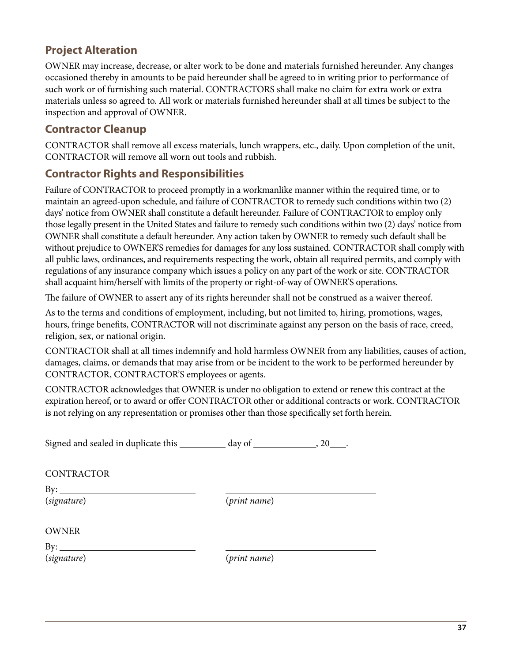### **Project Alteration**

OWNER may increase, decrease, or alter work to be done and materials furnished hereunder. Any changes occasioned thereby in amounts to be paid hereunder shall be agreed to in writing prior to performance of such work or of furnishing such material. CONTRACTORS shall make no claim for extra work or extra materials unless so agreed to. All work or materials furnished hereunder shall at all times be subject to the inspection and approval of OWNER.

### **Contractor Cleanup**

CONTRACTOR shall remove all excess materials, lunch wrappers, etc., daily. Upon completion of the unit, CONTRACTOR will remove all worn out tools and rubbish.

### **Contractor Rights and Responsibilities**

Failure of CONTRACTOR to proceed promptly in a workmanlike manner within the required time, or to maintain an agreed-upon schedule, and failure of CONTRACTOR to remedy such conditions within two (2) days' notice from OWNER shall constitute a default hereunder. Failure of CONTRACTOR to employ only those legally present in the United States and failure to remedy such conditions within two (2) days' notice from OWNER shall constitute a default hereunder. Any action taken by OWNER to remedy such default shall be without prejudice to OWNER'S remedies for damages for any loss sustained. CONTRACTOR shall comply with all public laws, ordinances, and requirements respecting the work, obtain all required permits, and comply with regulations of any insurance company which issues a policy on any part of the work or site. CONTRACTOR shall acquaint him/herself with limits of the property or right-of-way of OWNER'S operations.

The failure of OWNER to assert any of its rights hereunder shall not be construed as a waiver thereof.

As to the terms and conditions of employment, including, but not limited to, hiring, promotions, wages, hours, fringe benefits, CONTRACTOR will not discriminate against any person on the basis of race, creed, religion, sex, or national origin.

CONTRACTOR shall at all times indemnify and hold harmless OWNER from any liabilities, causes of action, damages, claims, or demands that may arise from or be incident to the work to be performed hereunder by CONTRACTOR, CONTRACTOR'S employees or agents.

CONTRACTOR acknowledges that OWNER is under no obligation to extend or renew this contract at the expiration hereof, or to award or offer CONTRACTOR other or additional contracts or work. CONTRACTOR is not relying on any representation or promises other than those specifically set forth herein.

Signed and sealed in duplicate this day of , 20 .

**CONTRACTOR** 

By:

(*signature*) (*print name*)

OWNER

 $By:$ 

(*signature*) (*print name*)